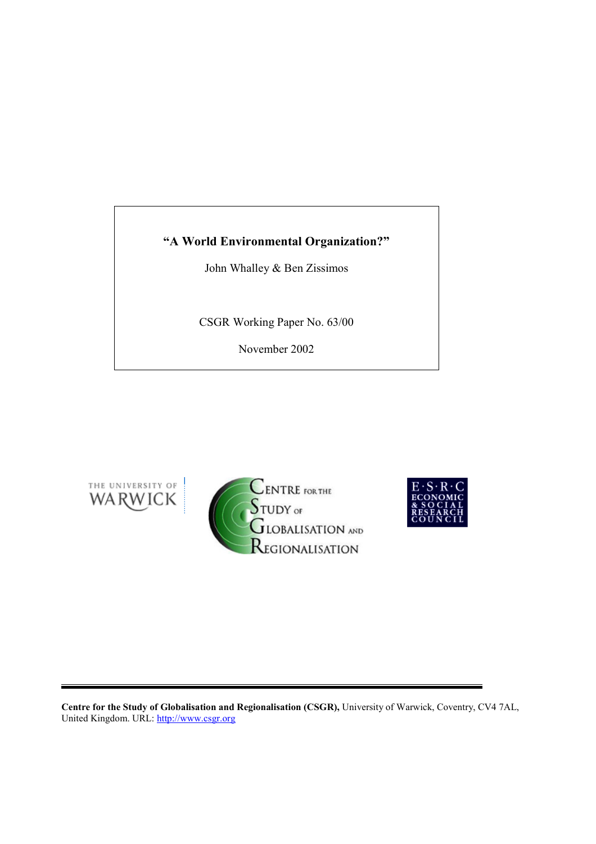# **"A World Environmental Organization?"**

John Whalley & Ben Zissimos

CSGR Working Paper No. 63/00

November 2002







**Centre for the Study of Globalisation and Regionalisation (CSGR),** University of Warwick, Coventry, CV4 7AL, United Kingdom. URL: http://www.csgr.org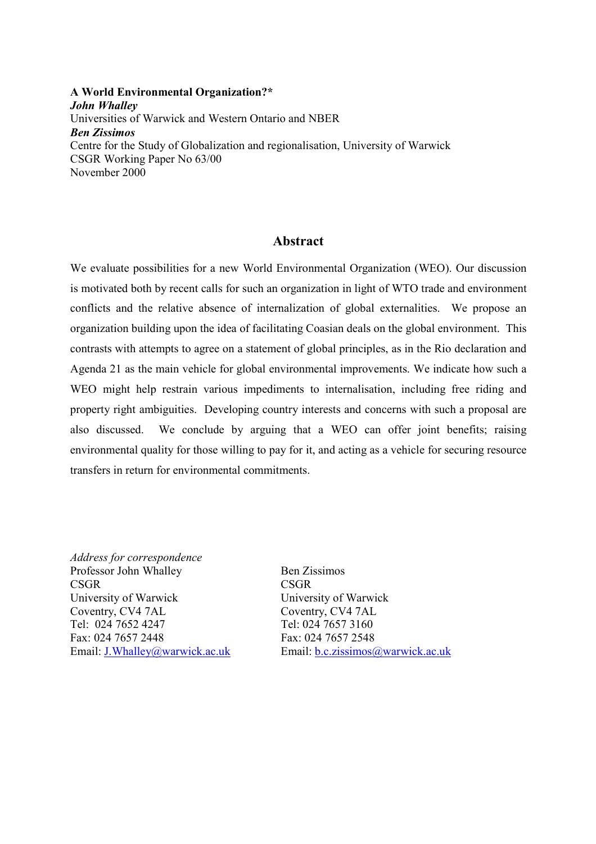**A World Environmental Organization?\***  *John Whalley*  Universities of Warwick and Western Ontario and NBER *Ben Zissimos*  Centre for the Study of Globalization and regionalisation, University of Warwick CSGR Working Paper No 63/00 November 2000

# **Abstract**

We evaluate possibilities for a new World Environmental Organization (WEO). Our discussion is motivated both by recent calls for such an organization in light of WTO trade and environment conflicts and the relative absence of internalization of global externalities. We propose an organization building upon the idea of facilitating Coasian deals on the global environment. This contrasts with attempts to agree on a statement of global principles, as in the Rio declaration and Agenda 21 as the main vehicle for global environmental improvements. We indicate how such a WEO might help restrain various impediments to internalisation, including free riding and property right ambiguities. Developing country interests and concerns with such a proposal are also discussed. We conclude by arguing that a WEO can offer joint benefits; raising environmental quality for those willing to pay for it, and acting as a vehicle for securing resource transfers in return for environmental commitments.

*Address for correspondence*  Professor John Whalley Ben Zissimos CSGR CSGR University of Warwick University of Warwick Coventry, CV4 7AL Coventry, CV4 7AL Tel: 024 7652 4247 Tel: 024 7657 3160 Fax: 024 7657 2448 Fax: 024 7657 2548

Email: J.Whalley@warwick.ac.uk Email: b.c.zissimos@warwick.ac.uk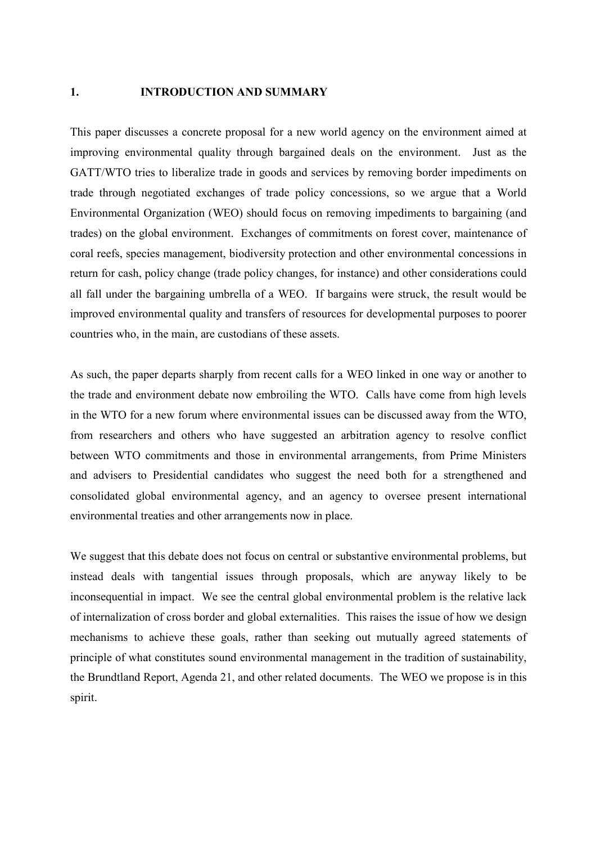### **1. INTRODUCTION AND SUMMARY**

This paper discusses a concrete proposal for a new world agency on the environment aimed at improving environmental quality through bargained deals on the environment. Just as the GATT/WTO tries to liberalize trade in goods and services by removing border impediments on trade through negotiated exchanges of trade policy concessions, so we argue that a World Environmental Organization (WEO) should focus on removing impediments to bargaining (and trades) on the global environment. Exchanges of commitments on forest cover, maintenance of coral reefs, species management, biodiversity protection and other environmental concessions in return for cash, policy change (trade policy changes, for instance) and other considerations could all fall under the bargaining umbrella of a WEO. If bargains were struck, the result would be improved environmental quality and transfers of resources for developmental purposes to poorer countries who, in the main, are custodians of these assets.

As such, the paper departs sharply from recent calls for a WEO linked in one way or another to the trade and environment debate now embroiling the WTO. Calls have come from high levels in the WTO for a new forum where environmental issues can be discussed away from the WTO, from researchers and others who have suggested an arbitration agency to resolve conflict between WTO commitments and those in environmental arrangements, from Prime Ministers and advisers to Presidential candidates who suggest the need both for a strengthened and consolidated global environmental agency, and an agency to oversee present international environmental treaties and other arrangements now in place.

We suggest that this debate does not focus on central or substantive environmental problems, but instead deals with tangential issues through proposals, which are anyway likely to be inconsequential in impact. We see the central global environmental problem is the relative lack of internalization of cross border and global externalities. This raises the issue of how we design mechanisms to achieve these goals, rather than seeking out mutually agreed statements of principle of what constitutes sound environmental management in the tradition of sustainability, the Brundtland Report, Agenda 21, and other related documents. The WEO we propose is in this spirit.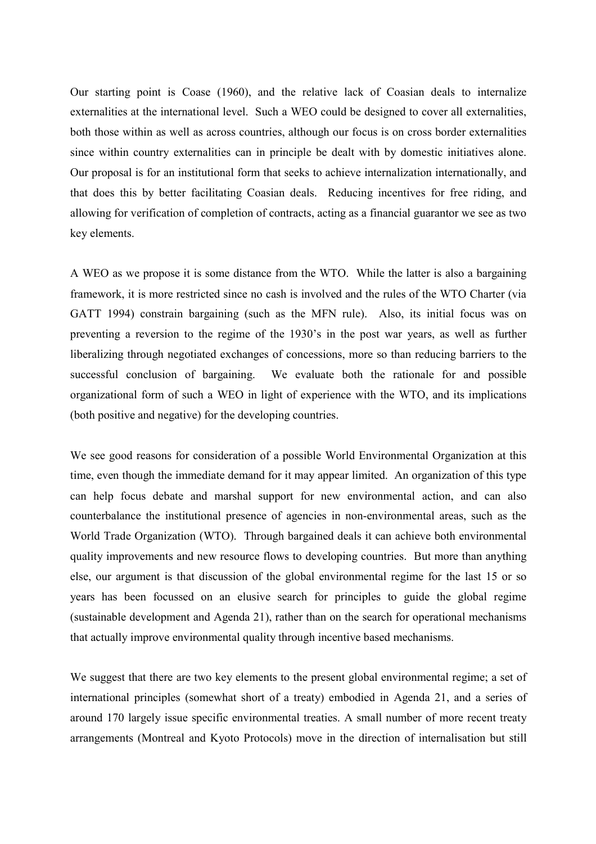Our starting point is Coase (1960), and the relative lack of Coasian deals to internalize externalities at the international level. Such a WEO could be designed to cover all externalities, both those within as well as across countries, although our focus is on cross border externalities since within country externalities can in principle be dealt with by domestic initiatives alone. Our proposal is for an institutional form that seeks to achieve internalization internationally, and that does this by better facilitating Coasian deals. Reducing incentives for free riding, and allowing for verification of completion of contracts, acting as a financial guarantor we see as two key elements.

A WEO as we propose it is some distance from the WTO. While the latter is also a bargaining framework, it is more restricted since no cash is involved and the rules of the WTO Charter (via GATT 1994) constrain bargaining (such as the MFN rule). Also, its initial focus was on preventing a reversion to the regime of the 1930's in the post war years, as well as further liberalizing through negotiated exchanges of concessions, more so than reducing barriers to the successful conclusion of bargaining. We evaluate both the rationale for and possible organizational form of such a WEO in light of experience with the WTO, and its implications (both positive and negative) for the developing countries.

We see good reasons for consideration of a possible World Environmental Organization at this time, even though the immediate demand for it may appear limited. An organization of this type can help focus debate and marshal support for new environmental action, and can also counterbalance the institutional presence of agencies in non-environmental areas, such as the World Trade Organization (WTO). Through bargained deals it can achieve both environmental quality improvements and new resource flows to developing countries. But more than anything else, our argument is that discussion of the global environmental regime for the last 15 or so years has been focussed on an elusive search for principles to guide the global regime (sustainable development and Agenda 21), rather than on the search for operational mechanisms that actually improve environmental quality through incentive based mechanisms.

We suggest that there are two key elements to the present global environmental regime; a set of international principles (somewhat short of a treaty) embodied in Agenda 21, and a series of around 170 largely issue specific environmental treaties. A small number of more recent treaty arrangements (Montreal and Kyoto Protocols) move in the direction of internalisation but still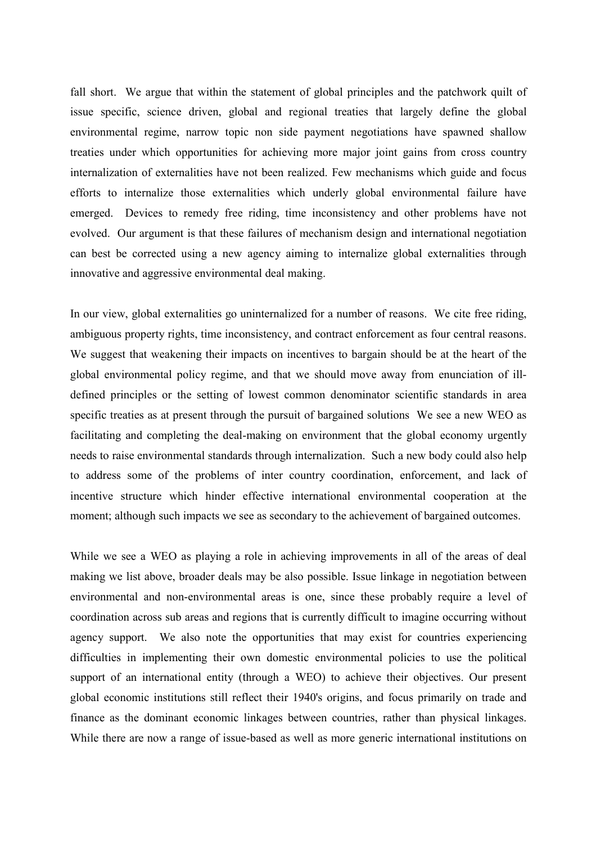fall short. We argue that within the statement of global principles and the patchwork quilt of issue specific, science driven, global and regional treaties that largely define the global environmental regime, narrow topic non side payment negotiations have spawned shallow treaties under which opportunities for achieving more major joint gains from cross country internalization of externalities have not been realized. Few mechanisms which guide and focus efforts to internalize those externalities which underly global environmental failure have emerged. Devices to remedy free riding, time inconsistency and other problems have not evolved. Our argument is that these failures of mechanism design and international negotiation can best be corrected using a new agency aiming to internalize global externalities through innovative and aggressive environmental deal making.

In our view, global externalities go uninternalized for a number of reasons. We cite free riding, ambiguous property rights, time inconsistency, and contract enforcement as four central reasons. We suggest that weakening their impacts on incentives to bargain should be at the heart of the global environmental policy regime, and that we should move away from enunciation of illdefined principles or the setting of lowest common denominator scientific standards in area specific treaties as at present through the pursuit of bargained solutions We see a new WEO as facilitating and completing the deal-making on environment that the global economy urgently needs to raise environmental standards through internalization. Such a new body could also help to address some of the problems of inter country coordination, enforcement, and lack of incentive structure which hinder effective international environmental cooperation at the moment; although such impacts we see as secondary to the achievement of bargained outcomes.

While we see a WEO as playing a role in achieving improvements in all of the areas of deal making we list above, broader deals may be also possible. Issue linkage in negotiation between environmental and non-environmental areas is one, since these probably require a level of coordination across sub areas and regions that is currently difficult to imagine occurring without agency support. We also note the opportunities that may exist for countries experiencing difficulties in implementing their own domestic environmental policies to use the political support of an international entity (through a WEO) to achieve their objectives. Our present global economic institutions still reflect their 1940's origins, and focus primarily on trade and finance as the dominant economic linkages between countries, rather than physical linkages. While there are now a range of issue-based as well as more generic international institutions on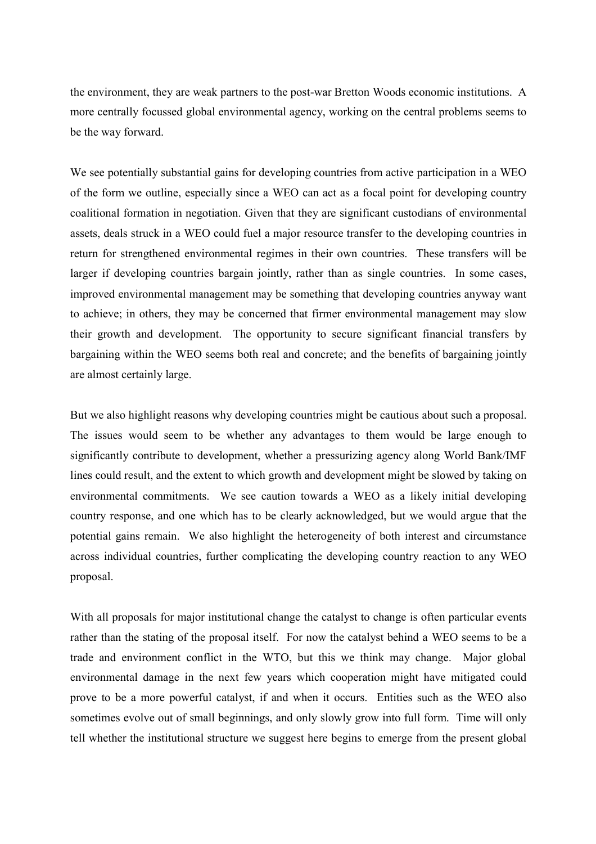the environment, they are weak partners to the post-war Bretton Woods economic institutions. A more centrally focussed global environmental agency, working on the central problems seems to be the way forward.

We see potentially substantial gains for developing countries from active participation in a WEO of the form we outline, especially since a WEO can act as a focal point for developing country coalitional formation in negotiation. Given that they are significant custodians of environmental assets, deals struck in a WEO could fuel a major resource transfer to the developing countries in return for strengthened environmental regimes in their own countries. These transfers will be larger if developing countries bargain jointly, rather than as single countries. In some cases, improved environmental management may be something that developing countries anyway want to achieve; in others, they may be concerned that firmer environmental management may slow their growth and development. The opportunity to secure significant financial transfers by bargaining within the WEO seems both real and concrete; and the benefits of bargaining jointly are almost certainly large.

But we also highlight reasons why developing countries might be cautious about such a proposal. The issues would seem to be whether any advantages to them would be large enough to significantly contribute to development, whether a pressurizing agency along World Bank/IMF lines could result, and the extent to which growth and development might be slowed by taking on environmental commitments. We see caution towards a WEO as a likely initial developing country response, and one which has to be clearly acknowledged, but we would argue that the potential gains remain. We also highlight the heterogeneity of both interest and circumstance across individual countries, further complicating the developing country reaction to any WEO proposal.

With all proposals for major institutional change the catalyst to change is often particular events rather than the stating of the proposal itself. For now the catalyst behind a WEO seems to be a trade and environment conflict in the WTO, but this we think may change. Major global environmental damage in the next few years which cooperation might have mitigated could prove to be a more powerful catalyst, if and when it occurs. Entities such as the WEO also sometimes evolve out of small beginnings, and only slowly grow into full form. Time will only tell whether the institutional structure we suggest here begins to emerge from the present global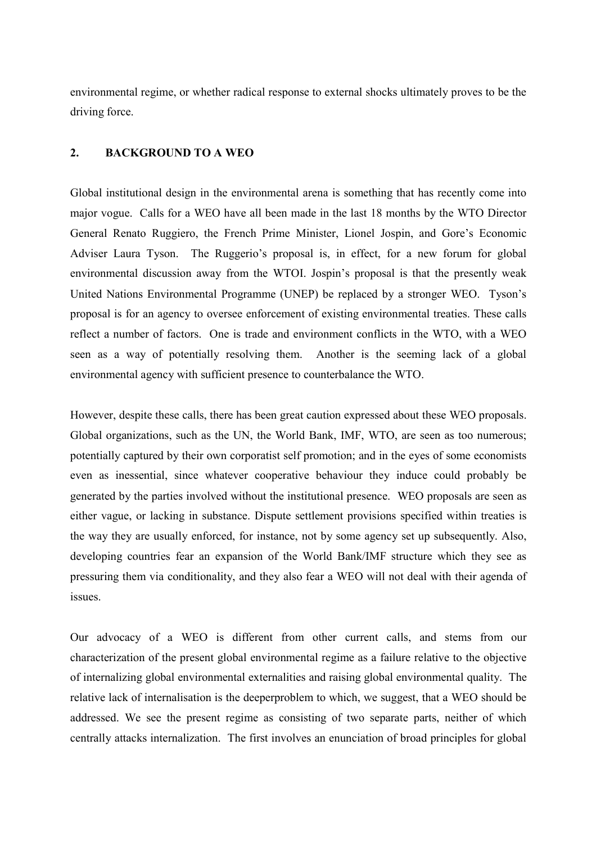environmental regime, or whether radical response to external shocks ultimately proves to be the driving force.

### **2. BACKGROUND TO A WEO**

Global institutional design in the environmental arena is something that has recently come into major vogue. Calls for a WEO have all been made in the last 18 months by the WTO Director General Renato Ruggiero, the French Prime Minister, Lionel Jospin, and Gore's Economic Adviser Laura Tyson. The Ruggerio's proposal is, in effect, for a new forum for global environmental discussion away from the WTOI. Jospin's proposal is that the presently weak United Nations Environmental Programme (UNEP) be replaced by a stronger WEO. Tyson's proposal is for an agency to oversee enforcement of existing environmental treaties. These calls reflect a number of factors. One is trade and environment conflicts in the WTO, with a WEO seen as a way of potentially resolving them. Another is the seeming lack of a global environmental agency with sufficient presence to counterbalance the WTO.

However, despite these calls, there has been great caution expressed about these WEO proposals. Global organizations, such as the UN, the World Bank, IMF, WTO, are seen as too numerous; potentially captured by their own corporatist self promotion; and in the eyes of some economists even as inessential, since whatever cooperative behaviour they induce could probably be generated by the parties involved without the institutional presence. WEO proposals are seen as either vague, or lacking in substance. Dispute settlement provisions specified within treaties is the way they are usually enforced, for instance, not by some agency set up subsequently. Also, developing countries fear an expansion of the World Bank/IMF structure which they see as pressuring them via conditionality, and they also fear a WEO will not deal with their agenda of issues.

Our advocacy of a WEO is different from other current calls, and stems from our characterization of the present global environmental regime as a failure relative to the objective of internalizing global environmental externalities and raising global environmental quality. The relative lack of internalisation is the deeperproblem to which, we suggest, that a WEO should be addressed. We see the present regime as consisting of two separate parts, neither of which centrally attacks internalization. The first involves an enunciation of broad principles for global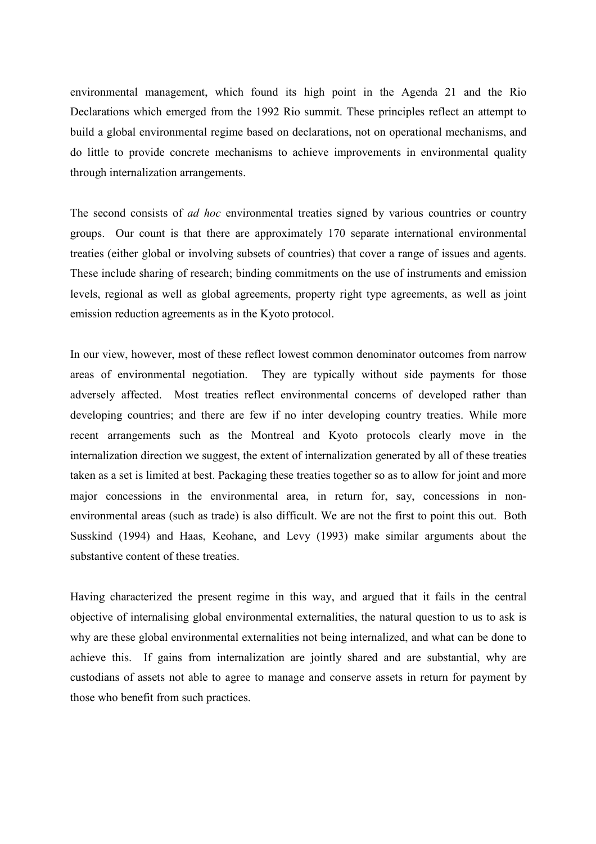environmental management, which found its high point in the Agenda 21 and the Rio Declarations which emerged from the 1992 Rio summit. These principles reflect an attempt to build a global environmental regime based on declarations, not on operational mechanisms, and do little to provide concrete mechanisms to achieve improvements in environmental quality through internalization arrangements.

The second consists of *ad hoc* environmental treaties signed by various countries or country groups. Our count is that there are approximately 170 separate international environmental treaties (either global or involving subsets of countries) that cover a range of issues and agents. These include sharing of research; binding commitments on the use of instruments and emission levels, regional as well as global agreements, property right type agreements, as well as joint emission reduction agreements as in the Kyoto protocol.

In our view, however, most of these reflect lowest common denominator outcomes from narrow areas of environmental negotiation. They are typically without side payments for those adversely affected. Most treaties reflect environmental concerns of developed rather than developing countries; and there are few if no inter developing country treaties. While more recent arrangements such as the Montreal and Kyoto protocols clearly move in the internalization direction we suggest, the extent of internalization generated by all of these treaties taken as a set is limited at best. Packaging these treaties together so as to allow for joint and more major concessions in the environmental area, in return for, say, concessions in nonenvironmental areas (such as trade) is also difficult. We are not the first to point this out. Both Susskind (1994) and Haas, Keohane, and Levy (1993) make similar arguments about the substantive content of these treaties.

Having characterized the present regime in this way, and argued that it fails in the central objective of internalising global environmental externalities, the natural question to us to ask is why are these global environmental externalities not being internalized, and what can be done to achieve this. If gains from internalization are jointly shared and are substantial, why are custodians of assets not able to agree to manage and conserve assets in return for payment by those who benefit from such practices.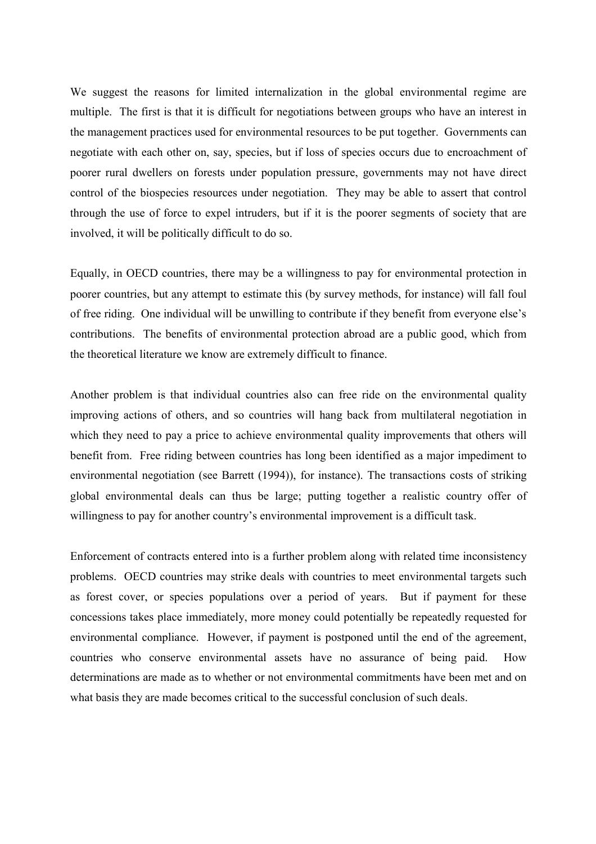We suggest the reasons for limited internalization in the global environmental regime are multiple. The first is that it is difficult for negotiations between groups who have an interest in the management practices used for environmental resources to be put together. Governments can negotiate with each other on, say, species, but if loss of species occurs due to encroachment of poorer rural dwellers on forests under population pressure, governments may not have direct control of the biospecies resources under negotiation. They may be able to assert that control through the use of force to expel intruders, but if it is the poorer segments of society that are involved, it will be politically difficult to do so.

Equally, in OECD countries, there may be a willingness to pay for environmental protection in poorer countries, but any attempt to estimate this (by survey methods, for instance) will fall foul of free riding. One individual will be unwilling to contribute if they benefit from everyone else's contributions. The benefits of environmental protection abroad are a public good, which from the theoretical literature we know are extremely difficult to finance.

Another problem is that individual countries also can free ride on the environmental quality improving actions of others, and so countries will hang back from multilateral negotiation in which they need to pay a price to achieve environmental quality improvements that others will benefit from. Free riding between countries has long been identified as a major impediment to environmental negotiation (see Barrett (1994)), for instance). The transactions costs of striking global environmental deals can thus be large; putting together a realistic country offer of willingness to pay for another country's environmental improvement is a difficult task.

Enforcement of contracts entered into is a further problem along with related time inconsistency problems. OECD countries may strike deals with countries to meet environmental targets such as forest cover, or species populations over a period of years. But if payment for these concessions takes place immediately, more money could potentially be repeatedly requested for environmental compliance. However, if payment is postponed until the end of the agreement, countries who conserve environmental assets have no assurance of being paid. How determinations are made as to whether or not environmental commitments have been met and on what basis they are made becomes critical to the successful conclusion of such deals.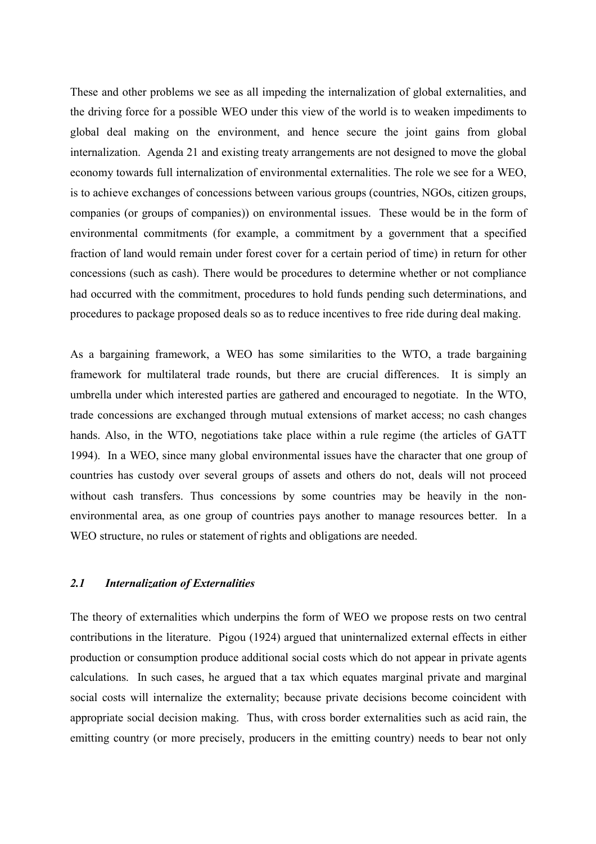These and other problems we see as all impeding the internalization of global externalities, and the driving force for a possible WEO under this view of the world is to weaken impediments to global deal making on the environment, and hence secure the joint gains from global internalization. Agenda 21 and existing treaty arrangements are not designed to move the global economy towards full internalization of environmental externalities. The role we see for a WEO, is to achieve exchanges of concessions between various groups (countries, NGOs, citizen groups, companies (or groups of companies)) on environmental issues. These would be in the form of environmental commitments (for example, a commitment by a government that a specified fraction of land would remain under forest cover for a certain period of time) in return for other concessions (such as cash). There would be procedures to determine whether or not compliance had occurred with the commitment, procedures to hold funds pending such determinations, and procedures to package proposed deals so as to reduce incentives to free ride during deal making.

As a bargaining framework, a WEO has some similarities to the WTO, a trade bargaining framework for multilateral trade rounds, but there are crucial differences. It is simply an umbrella under which interested parties are gathered and encouraged to negotiate. In the WTO, trade concessions are exchanged through mutual extensions of market access; no cash changes hands. Also, in the WTO, negotiations take place within a rule regime (the articles of GATT 1994). In a WEO, since many global environmental issues have the character that one group of countries has custody over several groups of assets and others do not, deals will not proceed without cash transfers. Thus concessions by some countries may be heavily in the nonenvironmental area, as one group of countries pays another to manage resources better. In a WEO structure, no rules or statement of rights and obligations are needed.

### *2.1 Internalization of Externalities*

The theory of externalities which underpins the form of WEO we propose rests on two central contributions in the literature. Pigou (1924) argued that uninternalized external effects in either production or consumption produce additional social costs which do not appear in private agents calculations. In such cases, he argued that a tax which equates marginal private and marginal social costs will internalize the externality; because private decisions become coincident with appropriate social decision making. Thus, with cross border externalities such as acid rain, the emitting country (or more precisely, producers in the emitting country) needs to bear not only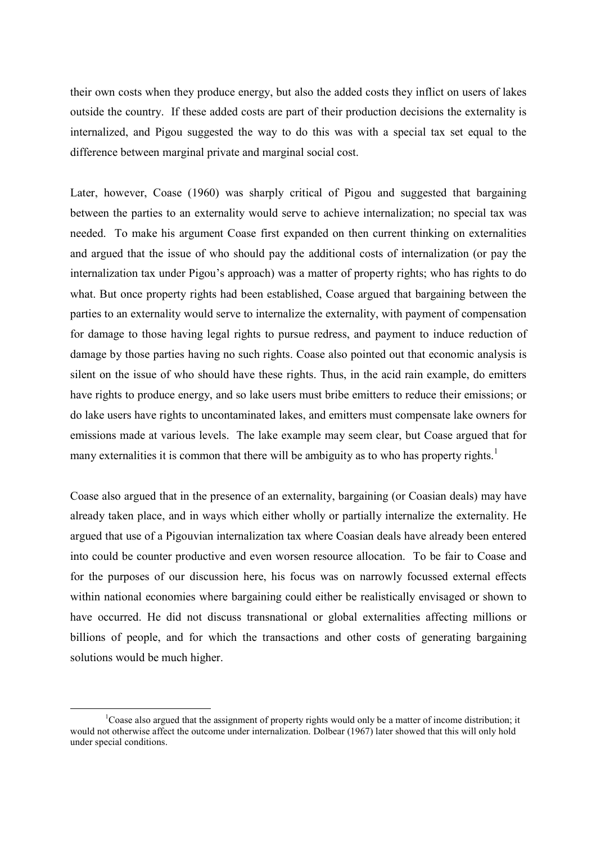their own costs when they produce energy, but also the added costs they inflict on users of lakes outside the country. If these added costs are part of their production decisions the externality is internalized, and Pigou suggested the way to do this was with a special tax set equal to the difference between marginal private and marginal social cost.

Later, however, Coase (1960) was sharply critical of Pigou and suggested that bargaining between the parties to an externality would serve to achieve internalization; no special tax was needed. To make his argument Coase first expanded on then current thinking on externalities and argued that the issue of who should pay the additional costs of internalization (or pay the internalization tax under Pigou's approach) was a matter of property rights; who has rights to do what. But once property rights had been established, Coase argued that bargaining between the parties to an externality would serve to internalize the externality, with payment of compensation for damage to those having legal rights to pursue redress, and payment to induce reduction of damage by those parties having no such rights. Coase also pointed out that economic analysis is silent on the issue of who should have these rights. Thus, in the acid rain example, do emitters have rights to produce energy, and so lake users must bribe emitters to reduce their emissions; or do lake users have rights to uncontaminated lakes, and emitters must compensate lake owners for emissions made at various levels. The lake example may seem clear, but Coase argued that for many externalities it is common that there will be ambiguity as to who has property rights.<sup>1</sup>

Coase also argued that in the presence of an externality, bargaining (or Coasian deals) may have already taken place, and in ways which either wholly or partially internalize the externality. He argued that use of a Pigouvian internalization tax where Coasian deals have already been entered into could be counter productive and even worsen resource allocation. To be fair to Coase and for the purposes of our discussion here, his focus was on narrowly focussed external effects within national economies where bargaining could either be realistically envisaged or shown to have occurred. He did not discuss transnational or global externalities affecting millions or billions of people, and for which the transactions and other costs of generating bargaining solutions would be much higher.

<sup>&</sup>lt;u>1</u> <sup>1</sup>Coase also argued that the assignment of property rights would only be a matter of income distribution; it would not otherwise affect the outcome under internalization. Dolbear (1967) later showed that this will only hold under special conditions.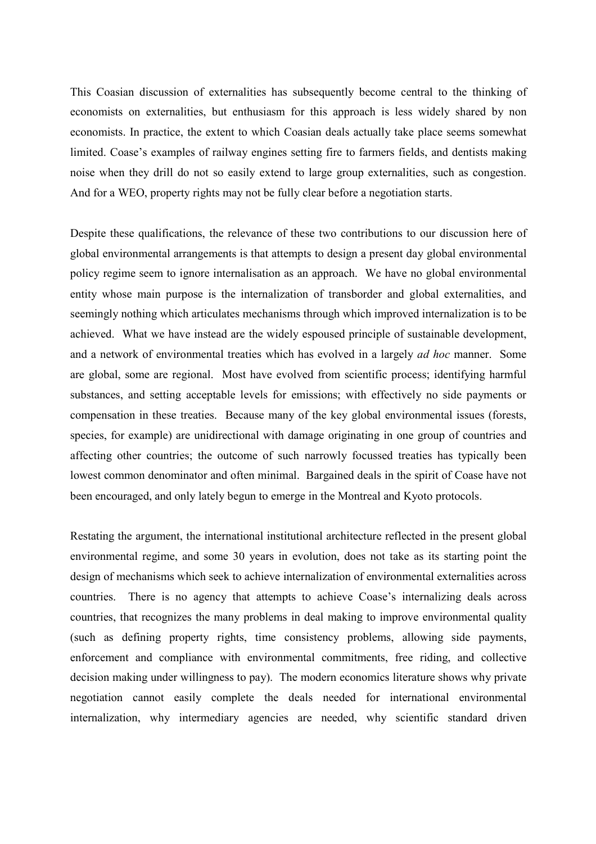This Coasian discussion of externalities has subsequently become central to the thinking of economists on externalities, but enthusiasm for this approach is less widely shared by non economists. In practice, the extent to which Coasian deals actually take place seems somewhat limited. Coase's examples of railway engines setting fire to farmers fields, and dentists making noise when they drill do not so easily extend to large group externalities, such as congestion. And for a WEO, property rights may not be fully clear before a negotiation starts.

Despite these qualifications, the relevance of these two contributions to our discussion here of global environmental arrangements is that attempts to design a present day global environmental policy regime seem to ignore internalisation as an approach. We have no global environmental entity whose main purpose is the internalization of transborder and global externalities, and seemingly nothing which articulates mechanisms through which improved internalization is to be achieved. What we have instead are the widely espoused principle of sustainable development, and a network of environmental treaties which has evolved in a largely *ad hoc* manner. Some are global, some are regional. Most have evolved from scientific process; identifying harmful substances, and setting acceptable levels for emissions; with effectively no side payments or compensation in these treaties. Because many of the key global environmental issues (forests, species, for example) are unidirectional with damage originating in one group of countries and affecting other countries; the outcome of such narrowly focussed treaties has typically been lowest common denominator and often minimal. Bargained deals in the spirit of Coase have not been encouraged, and only lately begun to emerge in the Montreal and Kyoto protocols.

Restating the argument, the international institutional architecture reflected in the present global environmental regime, and some 30 years in evolution, does not take as its starting point the design of mechanisms which seek to achieve internalization of environmental externalities across countries. There is no agency that attempts to achieve Coase's internalizing deals across countries, that recognizes the many problems in deal making to improve environmental quality (such as defining property rights, time consistency problems, allowing side payments, enforcement and compliance with environmental commitments, free riding, and collective decision making under willingness to pay). The modern economics literature shows why private negotiation cannot easily complete the deals needed for international environmental internalization, why intermediary agencies are needed, why scientific standard driven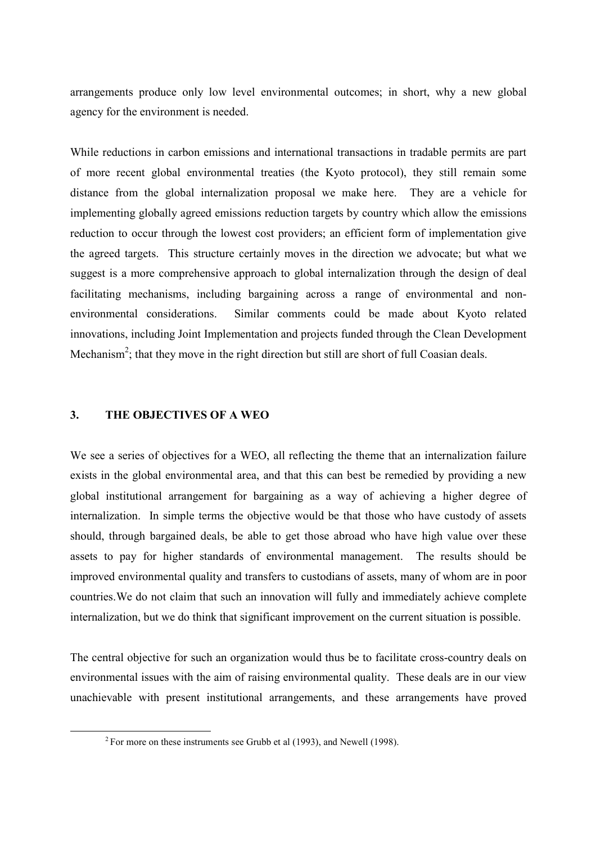arrangements produce only low level environmental outcomes; in short, why a new global agency for the environment is needed.

While reductions in carbon emissions and international transactions in tradable permits are part of more recent global environmental treaties (the Kyoto protocol), they still remain some distance from the global internalization proposal we make here. They are a vehicle for implementing globally agreed emissions reduction targets by country which allow the emissions reduction to occur through the lowest cost providers; an efficient form of implementation give the agreed targets. This structure certainly moves in the direction we advocate; but what we suggest is a more comprehensive approach to global internalization through the design of deal facilitating mechanisms, including bargaining across a range of environmental and nonenvironmental considerations. Similar comments could be made about Kyoto related innovations, including Joint Implementation and projects funded through the Clean Development Mechanism<sup>2</sup>; that they move in the right direction but still are short of full Coasian deals.

### **3. THE OBJECTIVES OF A WEO**

We see a series of objectives for a WEO, all reflecting the theme that an internalization failure exists in the global environmental area, and that this can best be remedied by providing a new global institutional arrangement for bargaining as a way of achieving a higher degree of internalization. In simple terms the objective would be that those who have custody of assets should, through bargained deals, be able to get those abroad who have high value over these assets to pay for higher standards of environmental management. The results should be improved environmental quality and transfers to custodians of assets, many of whom are in poor countries.We do not claim that such an innovation will fully and immediately achieve complete internalization, but we do think that significant improvement on the current situation is possible.

The central objective for such an organization would thus be to facilitate cross-country deals on environmental issues with the aim of raising environmental quality. These deals are in our view unachievable with present institutional arrangements, and these arrangements have proved

 $2$  For more on these instruments see Grubb et al (1993), and Newell (1998).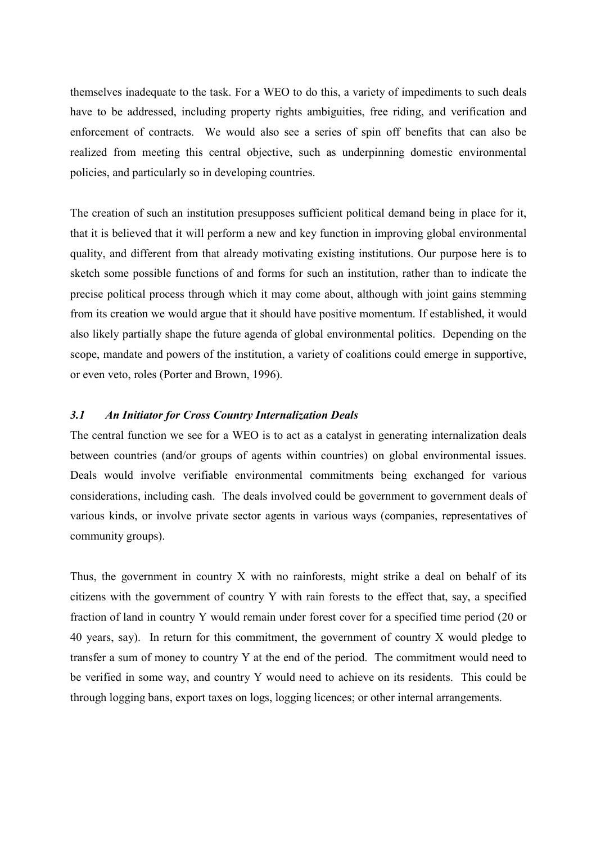themselves inadequate to the task. For a WEO to do this, a variety of impediments to such deals have to be addressed, including property rights ambiguities, free riding, and verification and enforcement of contracts. We would also see a series of spin off benefits that can also be realized from meeting this central objective, such as underpinning domestic environmental policies, and particularly so in developing countries.

The creation of such an institution presupposes sufficient political demand being in place for it, that it is believed that it will perform a new and key function in improving global environmental quality, and different from that already motivating existing institutions. Our purpose here is to sketch some possible functions of and forms for such an institution, rather than to indicate the precise political process through which it may come about, although with joint gains stemming from its creation we would argue that it should have positive momentum. If established, it would also likely partially shape the future agenda of global environmental politics. Depending on the scope, mandate and powers of the institution, a variety of coalitions could emerge in supportive, or even veto, roles (Porter and Brown, 1996).

# *3.1 An Initiator for Cross Country Internalization Deals*

The central function we see for a WEO is to act as a catalyst in generating internalization deals between countries (and/or groups of agents within countries) on global environmental issues. Deals would involve verifiable environmental commitments being exchanged for various considerations, including cash. The deals involved could be government to government deals of various kinds, or involve private sector agents in various ways (companies, representatives of community groups).

Thus, the government in country X with no rainforests, might strike a deal on behalf of its citizens with the government of country Y with rain forests to the effect that, say, a specified fraction of land in country Y would remain under forest cover for a specified time period (20 or 40 years, say). In return for this commitment, the government of country X would pledge to transfer a sum of money to country Y at the end of the period. The commitment would need to be verified in some way, and country Y would need to achieve on its residents. This could be through logging bans, export taxes on logs, logging licences; or other internal arrangements.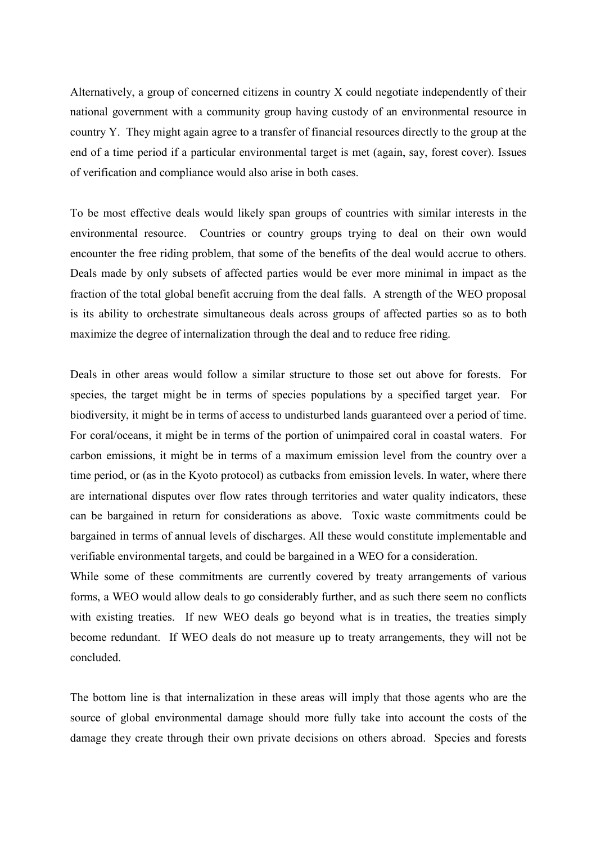Alternatively, a group of concerned citizens in country X could negotiate independently of their national government with a community group having custody of an environmental resource in country Y. They might again agree to a transfer of financial resources directly to the group at the end of a time period if a particular environmental target is met (again, say, forest cover). Issues of verification and compliance would also arise in both cases.

To be most effective deals would likely span groups of countries with similar interests in the environmental resource. Countries or country groups trying to deal on their own would encounter the free riding problem, that some of the benefits of the deal would accrue to others. Deals made by only subsets of affected parties would be ever more minimal in impact as the fraction of the total global benefit accruing from the deal falls. A strength of the WEO proposal is its ability to orchestrate simultaneous deals across groups of affected parties so as to both maximize the degree of internalization through the deal and to reduce free riding.

Deals in other areas would follow a similar structure to those set out above for forests. For species, the target might be in terms of species populations by a specified target year. For biodiversity, it might be in terms of access to undisturbed lands guaranteed over a period of time. For coral/oceans, it might be in terms of the portion of unimpaired coral in coastal waters. For carbon emissions, it might be in terms of a maximum emission level from the country over a time period, or (as in the Kyoto protocol) as cutbacks from emission levels. In water, where there are international disputes over flow rates through territories and water quality indicators, these can be bargained in return for considerations as above. Toxic waste commitments could be bargained in terms of annual levels of discharges. All these would constitute implementable and verifiable environmental targets, and could be bargained in a WEO for a consideration.

While some of these commitments are currently covered by treaty arrangements of various forms, a WEO would allow deals to go considerably further, and as such there seem no conflicts with existing treaties. If new WEO deals go beyond what is in treaties, the treaties simply become redundant. If WEO deals do not measure up to treaty arrangements, they will not be concluded.

The bottom line is that internalization in these areas will imply that those agents who are the source of global environmental damage should more fully take into account the costs of the damage they create through their own private decisions on others abroad. Species and forests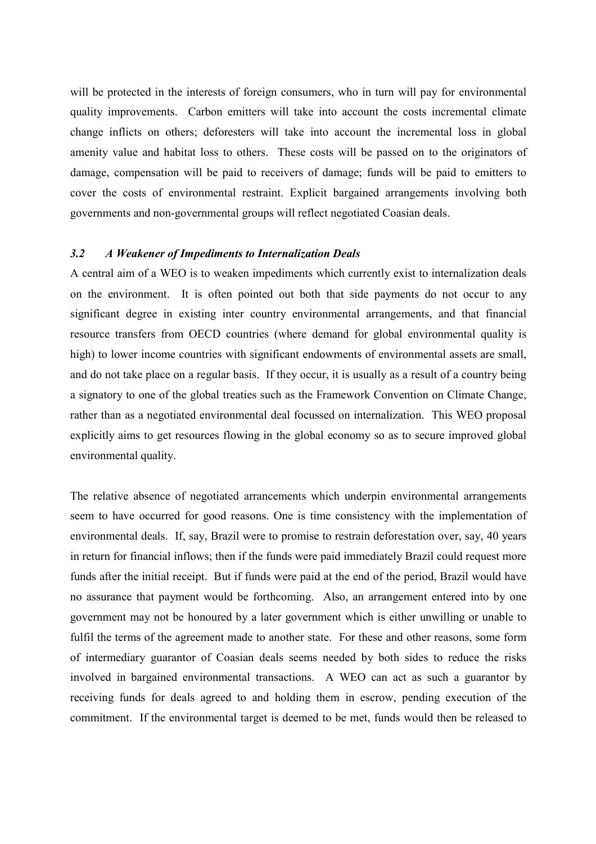will be protected in the interests of foreign consumers, who in turn will pay for environmental quality improvements. Carbon emitters will take into account the costs incremental climate change inflicts on others; deforesters will take into account the incremental loss in global amenity value and habitat loss to others. These costs will be passed on to the originators of damage, compensation will be paid to receivers of damage; funds will be paid to emitters to cover the costs of environmental restraint. Explicit bargained arrangements involving both governments and non-governmental groups will reflect negotiated Coasian deals.

#### *3.2 A Weakener of Impediments to Internalization Deals*

A central aim of a WEO is to weaken impediments which currently exist to internalization deals on the environment. It is often pointed out both that side payments do not occur to any significant degree in existing inter country environmental arrangements, and that financial resource transfers from OECD countries (where demand for global environmental quality is high) to lower income countries with significant endowments of environmental assets are small, and do not take place on a regular basis. If they occur, it is usually as a result of a country being a signatory to one of the global treaties such as the Framework Convention on Climate Change, rather than as a negotiated environmental deal focussed on internalization. This WEO proposal explicitly aims to get resources flowing in the global economy so as to secure improved global environmental quality.

The relative absence of negotiated arrancements which underpin environmental arrangements seem to have occurred for good reasons. One is time consistency with the implementation of environmental deals. If, say, Brazil were to promise to restrain deforestation over, say, 40 years in return for financial inflows; then if the funds were paid immediately Brazil could request more funds after the initial receipt. But if funds were paid at the end of the period, Brazil would have no assurance that payment would be forthcoming. Also, an arrangement entered into by one government may not be honoured by a later government which is either unwilling or unable to fulfil the terms of the agreement made to another state. For these and other reasons, some form of intermediary guarantor of Coasian deals seems needed by both sides to reduce the risks involved in bargained environmental transactions. A WEO can act as such a guarantor by receiving funds for deals agreed to and holding them in escrow, pending execution of the commitment. If the environmental target is deemed to be met, funds would then be released to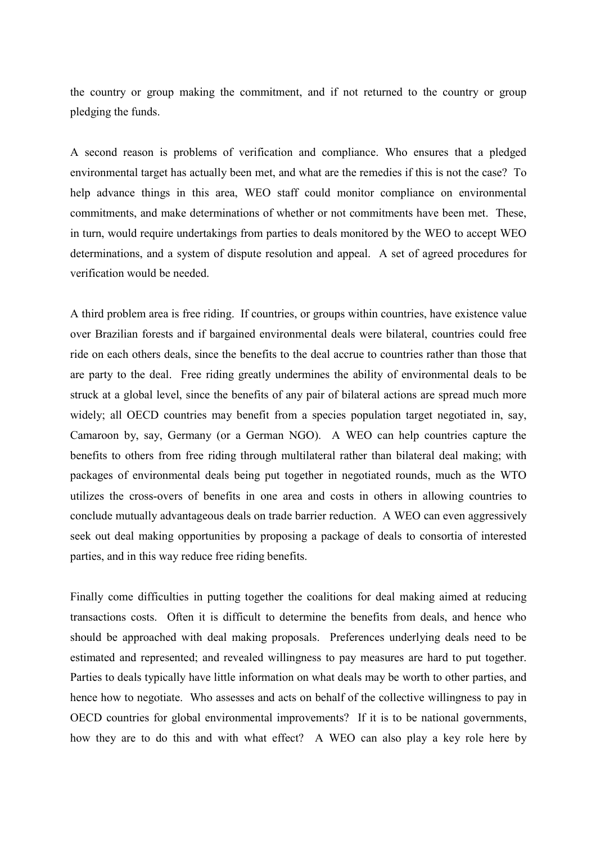the country or group making the commitment, and if not returned to the country or group pledging the funds.

A second reason is problems of verification and compliance. Who ensures that a pledged environmental target has actually been met, and what are the remedies if this is not the case? To help advance things in this area, WEO staff could monitor compliance on environmental commitments, and make determinations of whether or not commitments have been met. These, in turn, would require undertakings from parties to deals monitored by the WEO to accept WEO determinations, and a system of dispute resolution and appeal. A set of agreed procedures for verification would be needed.

A third problem area is free riding. If countries, or groups within countries, have existence value over Brazilian forests and if bargained environmental deals were bilateral, countries could free ride on each others deals, since the benefits to the deal accrue to countries rather than those that are party to the deal. Free riding greatly undermines the ability of environmental deals to be struck at a global level, since the benefits of any pair of bilateral actions are spread much more widely; all OECD countries may benefit from a species population target negotiated in, say, Camaroon by, say, Germany (or a German NGO). A WEO can help countries capture the benefits to others from free riding through multilateral rather than bilateral deal making; with packages of environmental deals being put together in negotiated rounds, much as the WTO utilizes the cross-overs of benefits in one area and costs in others in allowing countries to conclude mutually advantageous deals on trade barrier reduction. A WEO can even aggressively seek out deal making opportunities by proposing a package of deals to consortia of interested parties, and in this way reduce free riding benefits.

Finally come difficulties in putting together the coalitions for deal making aimed at reducing transactions costs. Often it is difficult to determine the benefits from deals, and hence who should be approached with deal making proposals. Preferences underlying deals need to be estimated and represented; and revealed willingness to pay measures are hard to put together. Parties to deals typically have little information on what deals may be worth to other parties, and hence how to negotiate. Who assesses and acts on behalf of the collective willingness to pay in OECD countries for global environmental improvements? If it is to be national governments, how they are to do this and with what effect? A WEO can also play a key role here by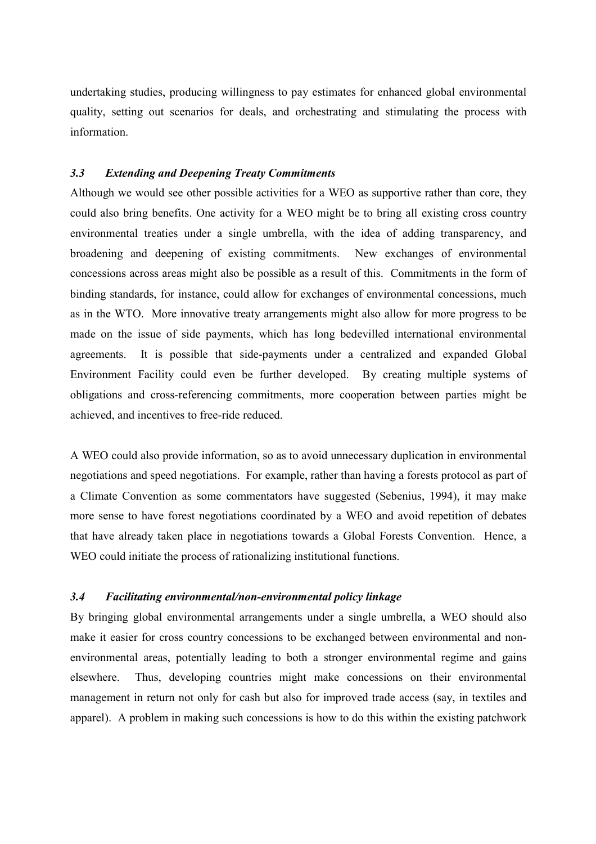undertaking studies, producing willingness to pay estimates for enhanced global environmental quality, setting out scenarios for deals, and orchestrating and stimulating the process with information.

# *3.3 Extending and Deepening Treaty Commitments*

Although we would see other possible activities for a WEO as supportive rather than core, they could also bring benefits. One activity for a WEO might be to bring all existing cross country environmental treaties under a single umbrella, with the idea of adding transparency, and broadening and deepening of existing commitments. New exchanges of environmental concessions across areas might also be possible as a result of this. Commitments in the form of binding standards, for instance, could allow for exchanges of environmental concessions, much as in the WTO. More innovative treaty arrangements might also allow for more progress to be made on the issue of side payments, which has long bedevilled international environmental agreements. It is possible that side-payments under a centralized and expanded Global Environment Facility could even be further developed. By creating multiple systems of obligations and cross-referencing commitments, more cooperation between parties might be achieved, and incentives to free-ride reduced.

A WEO could also provide information, so as to avoid unnecessary duplication in environmental negotiations and speed negotiations. For example, rather than having a forests protocol as part of a Climate Convention as some commentators have suggested (Sebenius, 1994), it may make more sense to have forest negotiations coordinated by a WEO and avoid repetition of debates that have already taken place in negotiations towards a Global Forests Convention. Hence, a WEO could initiate the process of rationalizing institutional functions.

### *3.4 Facilitating environmental/non-environmental policy linkage*

By bringing global environmental arrangements under a single umbrella, a WEO should also make it easier for cross country concessions to be exchanged between environmental and nonenvironmental areas, potentially leading to both a stronger environmental regime and gains elsewhere. Thus, developing countries might make concessions on their environmental management in return not only for cash but also for improved trade access (say, in textiles and apparel). A problem in making such concessions is how to do this within the existing patchwork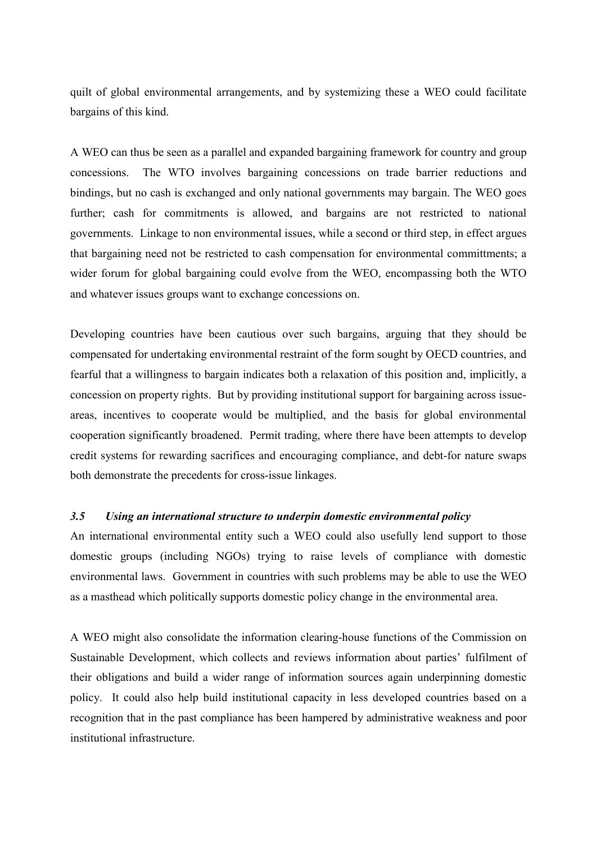quilt of global environmental arrangements, and by systemizing these a WEO could facilitate bargains of this kind.

A WEO can thus be seen as a parallel and expanded bargaining framework for country and group concessions. The WTO involves bargaining concessions on trade barrier reductions and bindings, but no cash is exchanged and only national governments may bargain. The WEO goes further; cash for commitments is allowed, and bargains are not restricted to national governments. Linkage to non environmental issues, while a second or third step, in effect argues that bargaining need not be restricted to cash compensation for environmental committments; a wider forum for global bargaining could evolve from the WEO, encompassing both the WTO and whatever issues groups want to exchange concessions on.

Developing countries have been cautious over such bargains, arguing that they should be compensated for undertaking environmental restraint of the form sought by OECD countries, and fearful that a willingness to bargain indicates both a relaxation of this position and, implicitly, a concession on property rights. But by providing institutional support for bargaining across issueareas, incentives to cooperate would be multiplied, and the basis for global environmental cooperation significantly broadened. Permit trading, where there have been attempts to develop credit systems for rewarding sacrifices and encouraging compliance, and debt-for nature swaps both demonstrate the precedents for cross-issue linkages.

## *3.5 Using an international structure to underpin domestic environmental policy*

An international environmental entity such a WEO could also usefully lend support to those domestic groups (including NGOs) trying to raise levels of compliance with domestic environmental laws. Government in countries with such problems may be able to use the WEO as a masthead which politically supports domestic policy change in the environmental area.

A WEO might also consolidate the information clearing-house functions of the Commission on Sustainable Development, which collects and reviews information about parties' fulfilment of their obligations and build a wider range of information sources again underpinning domestic policy. It could also help build institutional capacity in less developed countries based on a recognition that in the past compliance has been hampered by administrative weakness and poor institutional infrastructure.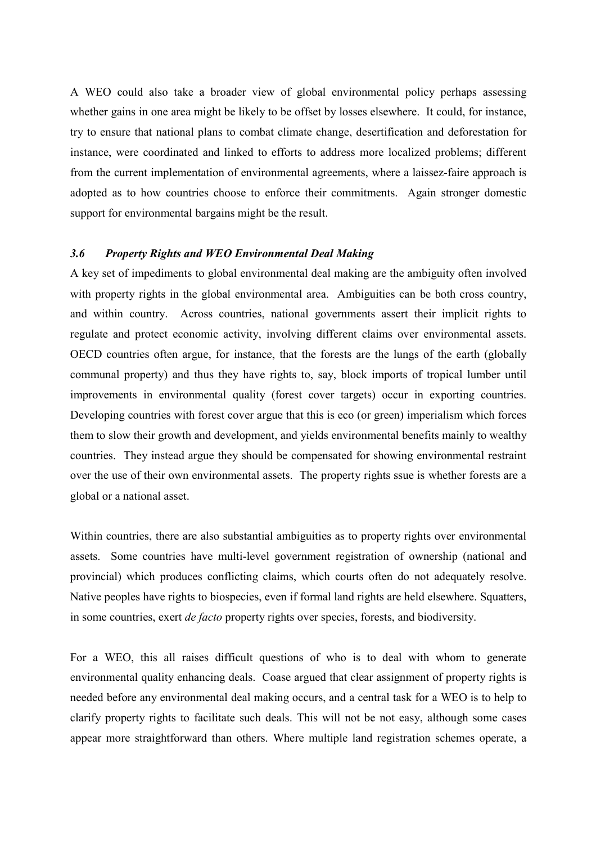A WEO could also take a broader view of global environmental policy perhaps assessing whether gains in one area might be likely to be offset by losses elsewhere. It could, for instance, try to ensure that national plans to combat climate change, desertification and deforestation for instance, were coordinated and linked to efforts to address more localized problems; different from the current implementation of environmental agreements, where a laissez-faire approach is adopted as to how countries choose to enforce their commitments. Again stronger domestic support for environmental bargains might be the result.

#### *3.6 Property Rights and WEO Environmental Deal Making*

A key set of impediments to global environmental deal making are the ambiguity often involved with property rights in the global environmental area. Ambiguities can be both cross country, and within country. Across countries, national governments assert their implicit rights to regulate and protect economic activity, involving different claims over environmental assets. OECD countries often argue, for instance, that the forests are the lungs of the earth (globally communal property) and thus they have rights to, say, block imports of tropical lumber until improvements in environmental quality (forest cover targets) occur in exporting countries. Developing countries with forest cover argue that this is eco (or green) imperialism which forces them to slow their growth and development, and yields environmental benefits mainly to wealthy countries. They instead argue they should be compensated for showing environmental restraint over the use of their own environmental assets. The property rights ssue is whether forests are a global or a national asset.

Within countries, there are also substantial ambiguities as to property rights over environmental assets. Some countries have multi-level government registration of ownership (national and provincial) which produces conflicting claims, which courts often do not adequately resolve. Native peoples have rights to biospecies, even if formal land rights are held elsewhere. Squatters, in some countries, exert *de facto* property rights over species, forests, and biodiversity.

For a WEO, this all raises difficult questions of who is to deal with whom to generate environmental quality enhancing deals. Coase argued that clear assignment of property rights is needed before any environmental deal making occurs, and a central task for a WEO is to help to clarify property rights to facilitate such deals. This will not be not easy, although some cases appear more straightforward than others. Where multiple land registration schemes operate, a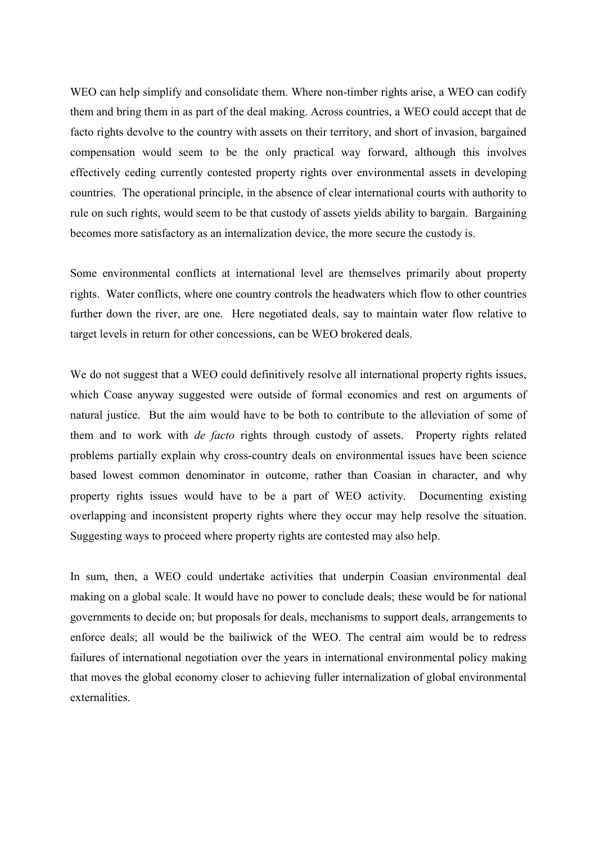WEO can help simplify and consolidate them. Where non-timber rights arise, a WEO can codify them and bring them in as part of the deal making. Across countries, a WEO could accept that de facto rights devolve to the country with assets on their territory, and short of invasion, bargained compensation would seem to be the only practical way forward, although this involves effectively ceding currently contested property rights over environmental assets in developing countries. The operational principle, in the absence of clear international courts with authority to rule on such rights, would seem to be that custody of assets yields ability to bargain. Bargaining becomes more satisfactory as an internalization device, the more secure the custody is.

Some environmental conflicts at international level are themselves primarily about property rights. Water conflicts, where one country controls the headwaters which flow to other countries further down the river, are one. Here negotiated deals, say to maintain water flow relative to target levels in return for other concessions, can be WEO brokered deals.

We do not suggest that a WEO could definitively resolve all international property rights issues, which Coase anyway suggested were outside of formal economics and rest on arguments of natural justice. But the aim would have to be both to contribute to the alleviation of some of them and to work with *de facto* rights through custody of assets. Property rights related problems partially explain why cross-country deals on environmental issues have been science based lowest common denominator in outcome, rather than Coasian in character, and why property rights issues would have to be a part of WEO activity. Documenting existing overlapping and inconsistent property rights where they occur may help resolve the situation. Suggesting ways to proceed where property rights are contested may also help.

In sum, then, a WEO could undertake activities that underpin Coasian environmental deal making on a global scale. It would have no power to conclude deals; these would be for national governments to decide on; but proposals for deals, mechanisms to support deals, arrangements to enforce deals; all would be the bailiwick of the WEO. The central aim would be to redress failures of international negotiation over the years in international environmental policy making that moves the global economy closer to achieving fuller internalization of global environmental externalities.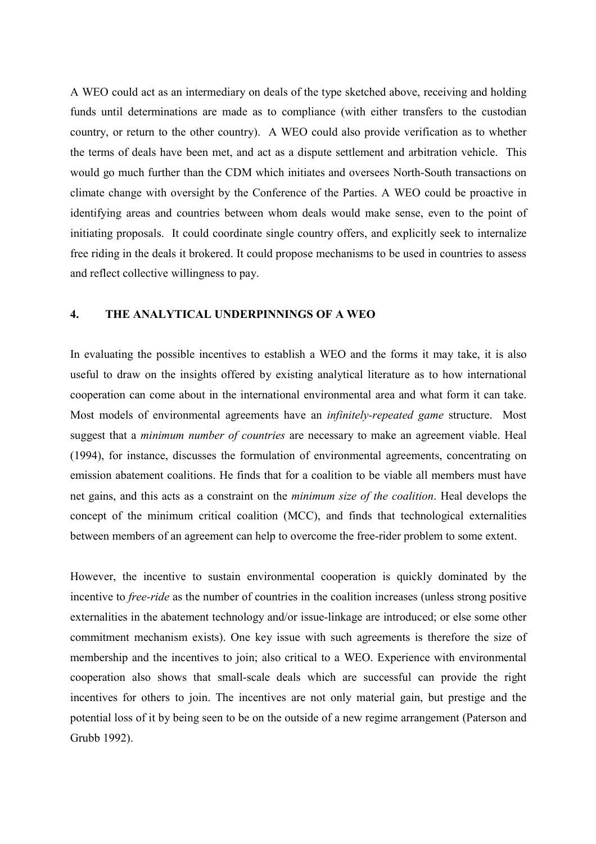A WEO could act as an intermediary on deals of the type sketched above, receiving and holding funds until determinations are made as to compliance (with either transfers to the custodian country, or return to the other country). A WEO could also provide verification as to whether the terms of deals have been met, and act as a dispute settlement and arbitration vehicle. This would go much further than the CDM which initiates and oversees North-South transactions on climate change with oversight by the Conference of the Parties. A WEO could be proactive in identifying areas and countries between whom deals would make sense, even to the point of initiating proposals. It could coordinate single country offers, and explicitly seek to internalize free riding in the deals it brokered. It could propose mechanisms to be used in countries to assess and reflect collective willingness to pay.

### **4. THE ANALYTICAL UNDERPINNINGS OF A WEO**

In evaluating the possible incentives to establish a WEO and the forms it may take, it is also useful to draw on the insights offered by existing analytical literature as to how international cooperation can come about in the international environmental area and what form it can take. Most models of environmental agreements have an *infinitely-repeated game* structure. Most suggest that a *minimum number of countries* are necessary to make an agreement viable. Heal (1994), for instance, discusses the formulation of environmental agreements, concentrating on emission abatement coalitions. He finds that for a coalition to be viable all members must have net gains, and this acts as a constraint on the *minimum size of the coalition*. Heal develops the concept of the minimum critical coalition (MCC), and finds that technological externalities between members of an agreement can help to overcome the free-rider problem to some extent.

However, the incentive to sustain environmental cooperation is quickly dominated by the incentive to *free-ride* as the number of countries in the coalition increases (unless strong positive externalities in the abatement technology and/or issue-linkage are introduced; or else some other commitment mechanism exists). One key issue with such agreements is therefore the size of membership and the incentives to join; also critical to a WEO. Experience with environmental cooperation also shows that small-scale deals which are successful can provide the right incentives for others to join. The incentives are not only material gain, but prestige and the potential loss of it by being seen to be on the outside of a new regime arrangement (Paterson and Grubb 1992).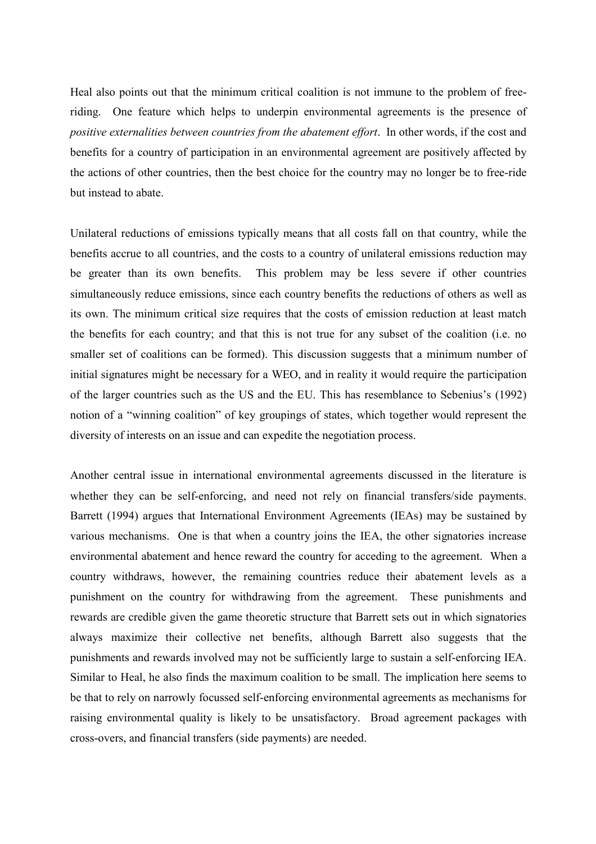Heal also points out that the minimum critical coalition is not immune to the problem of freeriding. One feature which helps to underpin environmental agreements is the presence of *positive externalities between countries from the abatement effort*. In other words, if the cost and benefits for a country of participation in an environmental agreement are positively affected by the actions of other countries, then the best choice for the country may no longer be to free-ride but instead to abate.

Unilateral reductions of emissions typically means that all costs fall on that country, while the benefits accrue to all countries, and the costs to a country of unilateral emissions reduction may be greater than its own benefits. This problem may be less severe if other countries simultaneously reduce emissions, since each country benefits the reductions of others as well as its own. The minimum critical size requires that the costs of emission reduction at least match the benefits for each country; and that this is not true for any subset of the coalition (i.e. no smaller set of coalitions can be formed). This discussion suggests that a minimum number of initial signatures might be necessary for a WEO, and in reality it would require the participation of the larger countries such as the US and the EU. This has resemblance to Sebenius's (1992) notion of a "winning coalition" of key groupings of states, which together would represent the diversity of interests on an issue and can expedite the negotiation process.

Another central issue in international environmental agreements discussed in the literature is whether they can be self-enforcing, and need not rely on financial transfers/side payments. Barrett (1994) argues that International Environment Agreements (IEAs) may be sustained by various mechanisms. One is that when a country joins the IEA, the other signatories increase environmental abatement and hence reward the country for acceding to the agreement. When a country withdraws, however, the remaining countries reduce their abatement levels as a punishment on the country for withdrawing from the agreement. These punishments and rewards are credible given the game theoretic structure that Barrett sets out in which signatories always maximize their collective net benefits, although Barrett also suggests that the punishments and rewards involved may not be sufficiently large to sustain a self-enforcing IEA. Similar to Heal, he also finds the maximum coalition to be small. The implication here seems to be that to rely on narrowly focussed self-enforcing environmental agreements as mechanisms for raising environmental quality is likely to be unsatisfactory. Broad agreement packages with cross-overs, and financial transfers (side payments) are needed.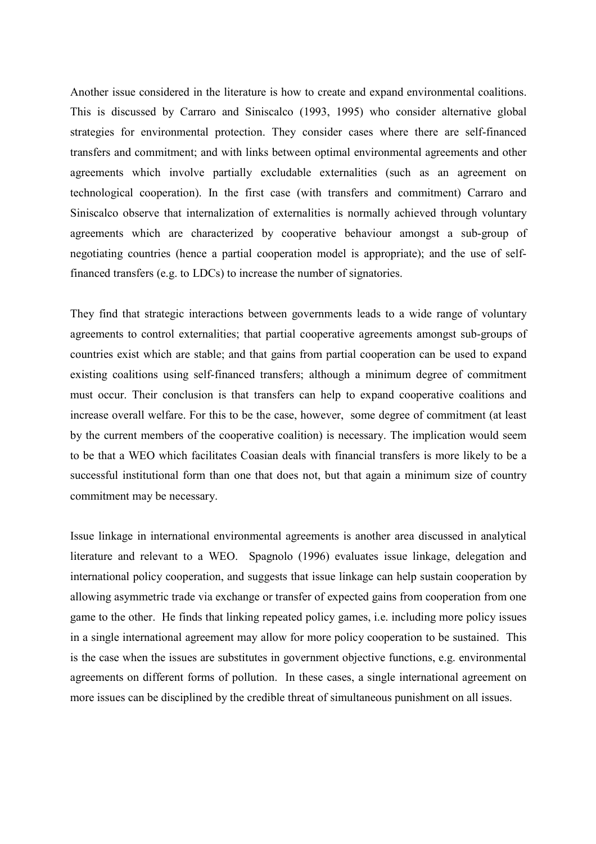Another issue considered in the literature is how to create and expand environmental coalitions. This is discussed by Carraro and Siniscalco (1993, 1995) who consider alternative global strategies for environmental protection. They consider cases where there are self-financed transfers and commitment; and with links between optimal environmental agreements and other agreements which involve partially excludable externalities (such as an agreement on technological cooperation). In the first case (with transfers and commitment) Carraro and Siniscalco observe that internalization of externalities is normally achieved through voluntary agreements which are characterized by cooperative behaviour amongst a sub-group of negotiating countries (hence a partial cooperation model is appropriate); and the use of selffinanced transfers (e.g. to LDCs) to increase the number of signatories.

They find that strategic interactions between governments leads to a wide range of voluntary agreements to control externalities; that partial cooperative agreements amongst sub-groups of countries exist which are stable; and that gains from partial cooperation can be used to expand existing coalitions using self-financed transfers; although a minimum degree of commitment must occur. Their conclusion is that transfers can help to expand cooperative coalitions and increase overall welfare. For this to be the case, however, some degree of commitment (at least by the current members of the cooperative coalition) is necessary. The implication would seem to be that a WEO which facilitates Coasian deals with financial transfers is more likely to be a successful institutional form than one that does not, but that again a minimum size of country commitment may be necessary.

Issue linkage in international environmental agreements is another area discussed in analytical literature and relevant to a WEO. Spagnolo (1996) evaluates issue linkage, delegation and international policy cooperation, and suggests that issue linkage can help sustain cooperation by allowing asymmetric trade via exchange or transfer of expected gains from cooperation from one game to the other. He finds that linking repeated policy games, i.e. including more policy issues in a single international agreement may allow for more policy cooperation to be sustained. This is the case when the issues are substitutes in government objective functions, e.g. environmental agreements on different forms of pollution. In these cases, a single international agreement on more issues can be disciplined by the credible threat of simultaneous punishment on all issues.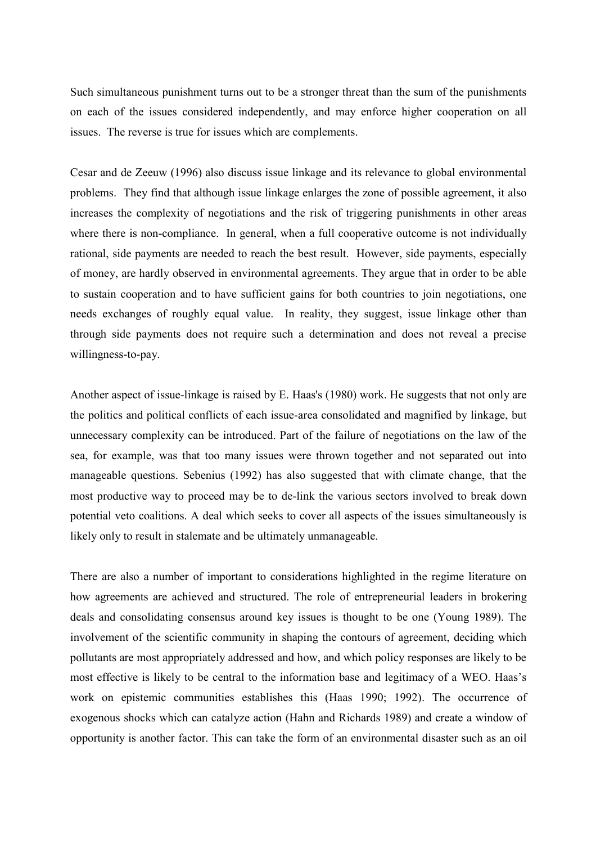Such simultaneous punishment turns out to be a stronger threat than the sum of the punishments on each of the issues considered independently, and may enforce higher cooperation on all issues. The reverse is true for issues which are complements.

Cesar and de Zeeuw (1996) also discuss issue linkage and its relevance to global environmental problems. They find that although issue linkage enlarges the zone of possible agreement, it also increases the complexity of negotiations and the risk of triggering punishments in other areas where there is non-compliance. In general, when a full cooperative outcome is not individually rational, side payments are needed to reach the best result. However, side payments, especially of money, are hardly observed in environmental agreements. They argue that in order to be able to sustain cooperation and to have sufficient gains for both countries to join negotiations, one needs exchanges of roughly equal value. In reality, they suggest, issue linkage other than through side payments does not require such a determination and does not reveal a precise willingness-to-pay.

Another aspect of issue-linkage is raised by E. Haas's (1980) work. He suggests that not only are the politics and political conflicts of each issue-area consolidated and magnified by linkage, but unnecessary complexity can be introduced. Part of the failure of negotiations on the law of the sea, for example, was that too many issues were thrown together and not separated out into manageable questions. Sebenius (1992) has also suggested that with climate change, that the most productive way to proceed may be to de-link the various sectors involved to break down potential veto coalitions. A deal which seeks to cover all aspects of the issues simultaneously is likely only to result in stalemate and be ultimately unmanageable.

There are also a number of important to considerations highlighted in the regime literature on how agreements are achieved and structured. The role of entrepreneurial leaders in brokering deals and consolidating consensus around key issues is thought to be one (Young 1989). The involvement of the scientific community in shaping the contours of agreement, deciding which pollutants are most appropriately addressed and how, and which policy responses are likely to be most effective is likely to be central to the information base and legitimacy of a WEO. Haas's work on epistemic communities establishes this (Haas 1990; 1992). The occurrence of exogenous shocks which can catalyze action (Hahn and Richards 1989) and create a window of opportunity is another factor. This can take the form of an environmental disaster such as an oil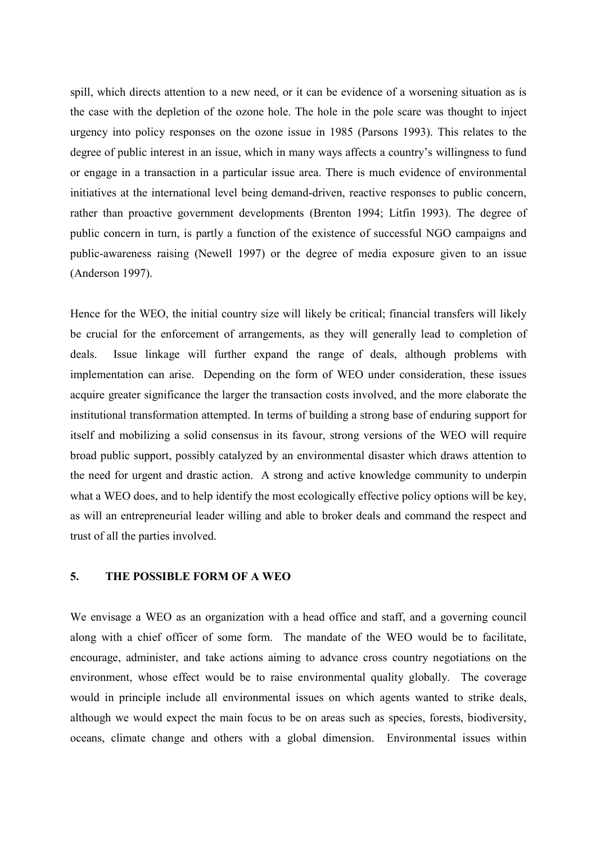spill, which directs attention to a new need, or it can be evidence of a worsening situation as is the case with the depletion of the ozone hole. The hole in the pole scare was thought to inject urgency into policy responses on the ozone issue in 1985 (Parsons 1993). This relates to the degree of public interest in an issue, which in many ways affects a country's willingness to fund or engage in a transaction in a particular issue area. There is much evidence of environmental initiatives at the international level being demand-driven, reactive responses to public concern, rather than proactive government developments (Brenton 1994; Litfin 1993). The degree of public concern in turn, is partly a function of the existence of successful NGO campaigns and public-awareness raising (Newell 1997) or the degree of media exposure given to an issue (Anderson 1997).

Hence for the WEO, the initial country size will likely be critical; financial transfers will likely be crucial for the enforcement of arrangements, as they will generally lead to completion of deals. Issue linkage will further expand the range of deals, although problems with implementation can arise. Depending on the form of WEO under consideration, these issues acquire greater significance the larger the transaction costs involved, and the more elaborate the institutional transformation attempted. In terms of building a strong base of enduring support for itself and mobilizing a solid consensus in its favour, strong versions of the WEO will require broad public support, possibly catalyzed by an environmental disaster which draws attention to the need for urgent and drastic action. A strong and active knowledge community to underpin what a WEO does, and to help identify the most ecologically effective policy options will be key, as will an entrepreneurial leader willing and able to broker deals and command the respect and trust of all the parties involved.

# **5. THE POSSIBLE FORM OF A WEO**

We envisage a WEO as an organization with a head office and staff, and a governing council along with a chief officer of some form. The mandate of the WEO would be to facilitate, encourage, administer, and take actions aiming to advance cross country negotiations on the environment, whose effect would be to raise environmental quality globally. The coverage would in principle include all environmental issues on which agents wanted to strike deals, although we would expect the main focus to be on areas such as species, forests, biodiversity, oceans, climate change and others with a global dimension. Environmental issues within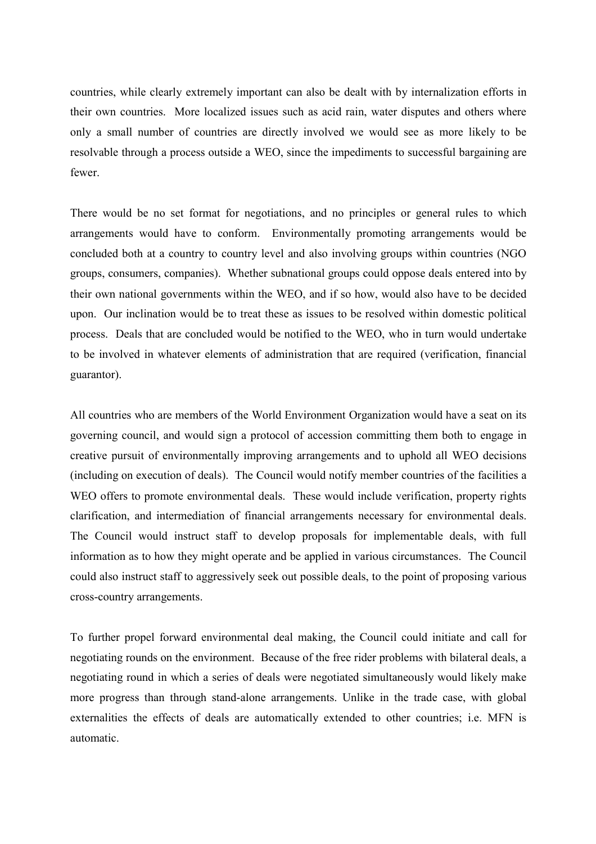countries, while clearly extremely important can also be dealt with by internalization efforts in their own countries. More localized issues such as acid rain, water disputes and others where only a small number of countries are directly involved we would see as more likely to be resolvable through a process outside a WEO, since the impediments to successful bargaining are fewer.

There would be no set format for negotiations, and no principles or general rules to which arrangements would have to conform. Environmentally promoting arrangements would be concluded both at a country to country level and also involving groups within countries (NGO groups, consumers, companies). Whether subnational groups could oppose deals entered into by their own national governments within the WEO, and if so how, would also have to be decided upon. Our inclination would be to treat these as issues to be resolved within domestic political process. Deals that are concluded would be notified to the WEO, who in turn would undertake to be involved in whatever elements of administration that are required (verification, financial guarantor).

All countries who are members of the World Environment Organization would have a seat on its governing council, and would sign a protocol of accession committing them both to engage in creative pursuit of environmentally improving arrangements and to uphold all WEO decisions (including on execution of deals). The Council would notify member countries of the facilities a WEO offers to promote environmental deals. These would include verification, property rights clarification, and intermediation of financial arrangements necessary for environmental deals. The Council would instruct staff to develop proposals for implementable deals, with full information as to how they might operate and be applied in various circumstances. The Council could also instruct staff to aggressively seek out possible deals, to the point of proposing various cross-country arrangements.

To further propel forward environmental deal making, the Council could initiate and call for negotiating rounds on the environment. Because of the free rider problems with bilateral deals, a negotiating round in which a series of deals were negotiated simultaneously would likely make more progress than through stand-alone arrangements. Unlike in the trade case, with global externalities the effects of deals are automatically extended to other countries; i.e. MFN is automatic.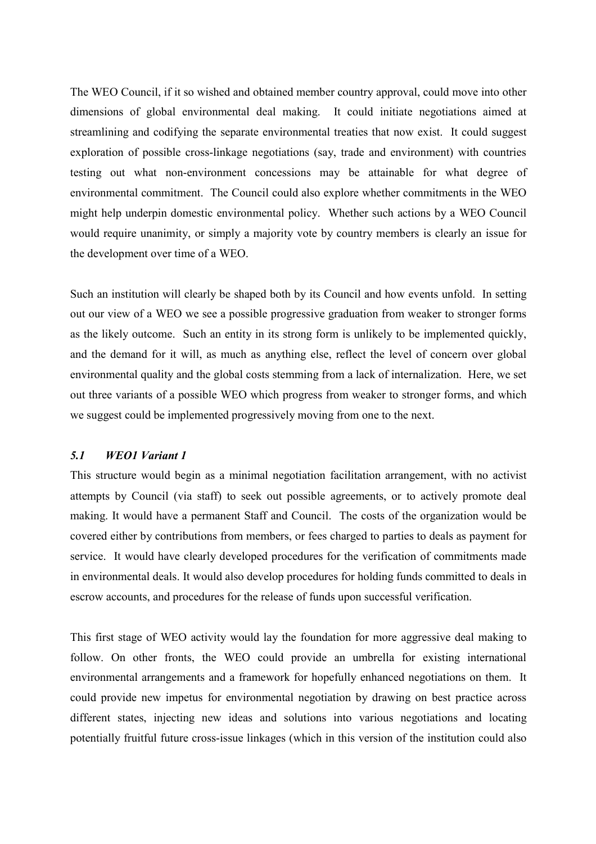The WEO Council, if it so wished and obtained member country approval, could move into other dimensions of global environmental deal making. It could initiate negotiations aimed at streamlining and codifying the separate environmental treaties that now exist. It could suggest exploration of possible cross-linkage negotiations (say, trade and environment) with countries testing out what non-environment concessions may be attainable for what degree of environmental commitment. The Council could also explore whether commitments in the WEO might help underpin domestic environmental policy. Whether such actions by a WEO Council would require unanimity, or simply a majority vote by country members is clearly an issue for the development over time of a WEO.

Such an institution will clearly be shaped both by its Council and how events unfold. In setting out our view of a WEO we see a possible progressive graduation from weaker to stronger forms as the likely outcome. Such an entity in its strong form is unlikely to be implemented quickly, and the demand for it will, as much as anything else, reflect the level of concern over global environmental quality and the global costs stemming from a lack of internalization. Here, we set out three variants of a possible WEO which progress from weaker to stronger forms, and which we suggest could be implemented progressively moving from one to the next.

# *5.1 WEO1 Variant 1*

This structure would begin as a minimal negotiation facilitation arrangement, with no activist attempts by Council (via staff) to seek out possible agreements, or to actively promote deal making. It would have a permanent Staff and Council. The costs of the organization would be covered either by contributions from members, or fees charged to parties to deals as payment for service. It would have clearly developed procedures for the verification of commitments made in environmental deals. It would also develop procedures for holding funds committed to deals in escrow accounts, and procedures for the release of funds upon successful verification.

This first stage of WEO activity would lay the foundation for more aggressive deal making to follow. On other fronts, the WEO could provide an umbrella for existing international environmental arrangements and a framework for hopefully enhanced negotiations on them. It could provide new impetus for environmental negotiation by drawing on best practice across different states, injecting new ideas and solutions into various negotiations and locating potentially fruitful future cross-issue linkages (which in this version of the institution could also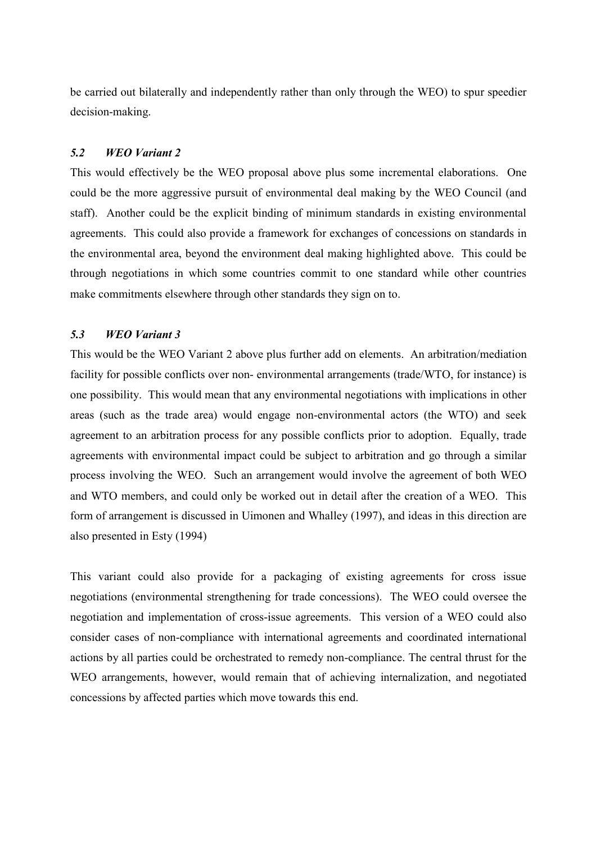be carried out bilaterally and independently rather than only through the WEO) to spur speedier decision-making.

## *5.2 WEO Variant 2*

This would effectively be the WEO proposal above plus some incremental elaborations. One could be the more aggressive pursuit of environmental deal making by the WEO Council (and staff). Another could be the explicit binding of minimum standards in existing environmental agreements. This could also provide a framework for exchanges of concessions on standards in the environmental area, beyond the environment deal making highlighted above. This could be through negotiations in which some countries commit to one standard while other countries make commitments elsewhere through other standards they sign on to.

# *5.3 WEO Variant 3*

This would be the WEO Variant 2 above plus further add on elements. An arbitration/mediation facility for possible conflicts over non- environmental arrangements (trade/WTO, for instance) is one possibility. This would mean that any environmental negotiations with implications in other areas (such as the trade area) would engage non-environmental actors (the WTO) and seek agreement to an arbitration process for any possible conflicts prior to adoption. Equally, trade agreements with environmental impact could be subject to arbitration and go through a similar process involving the WEO. Such an arrangement would involve the agreement of both WEO and WTO members, and could only be worked out in detail after the creation of a WEO. This form of arrangement is discussed in Uimonen and Whalley (1997), and ideas in this direction are also presented in Esty (1994)

This variant could also provide for a packaging of existing agreements for cross issue negotiations (environmental strengthening for trade concessions). The WEO could oversee the negotiation and implementation of cross-issue agreements. This version of a WEO could also consider cases of non-compliance with international agreements and coordinated international actions by all parties could be orchestrated to remedy non-compliance. The central thrust for the WEO arrangements, however, would remain that of achieving internalization, and negotiated concessions by affected parties which move towards this end.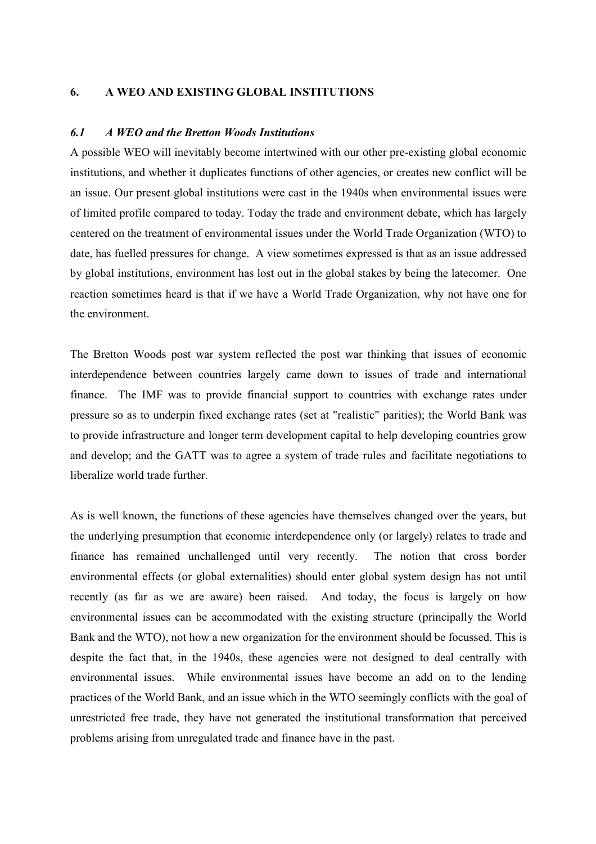#### **6. A WEO AND EXISTING GLOBAL INSTITUTIONS**

#### *6.1 A WEO and the Bretton Woods Institutions*

A possible WEO will inevitably become intertwined with our other pre-existing global economic institutions, and whether it duplicates functions of other agencies, or creates new conflict will be an issue. Our present global institutions were cast in the 1940s when environmental issues were of limited profile compared to today. Today the trade and environment debate, which has largely centered on the treatment of environmental issues under the World Trade Organization (WTO) to date, has fuelled pressures for change. A view sometimes expressed is that as an issue addressed by global institutions, environment has lost out in the global stakes by being the latecomer. One reaction sometimes heard is that if we have a World Trade Organization, why not have one for the environment.

The Bretton Woods post war system reflected the post war thinking that issues of economic interdependence between countries largely came down to issues of trade and international finance. The IMF was to provide financial support to countries with exchange rates under pressure so as to underpin fixed exchange rates (set at "realistic" parities); the World Bank was to provide infrastructure and longer term development capital to help developing countries grow and develop; and the GATT was to agree a system of trade rules and facilitate negotiations to liberalize world trade further.

As is well known, the functions of these agencies have themselves changed over the years, but the underlying presumption that economic interdependence only (or largely) relates to trade and finance has remained unchallenged until very recently. The notion that cross border environmental effects (or global externalities) should enter global system design has not until recently (as far as we are aware) been raised. And today, the focus is largely on how environmental issues can be accommodated with the existing structure (principally the World Bank and the WTO), not how a new organization for the environment should be focussed. This is despite the fact that, in the 1940s, these agencies were not designed to deal centrally with environmental issues. While environmental issues have become an add on to the lending practices of the World Bank, and an issue which in the WTO seemingly conflicts with the goal of unrestricted free trade, they have not generated the institutional transformation that perceived problems arising from unregulated trade and finance have in the past.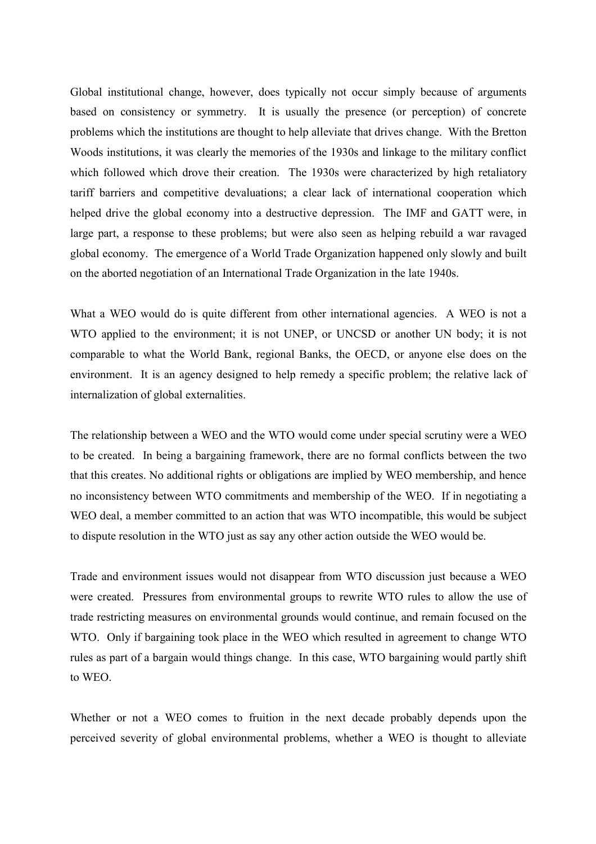Global institutional change, however, does typically not occur simply because of arguments based on consistency or symmetry. It is usually the presence (or perception) of concrete problems which the institutions are thought to help alleviate that drives change. With the Bretton Woods institutions, it was clearly the memories of the 1930s and linkage to the military conflict which followed which drove their creation. The 1930s were characterized by high retaliatory tariff barriers and competitive devaluations; a clear lack of international cooperation which helped drive the global economy into a destructive depression. The IMF and GATT were, in large part, a response to these problems; but were also seen as helping rebuild a war ravaged global economy. The emergence of a World Trade Organization happened only slowly and built on the aborted negotiation of an International Trade Organization in the late 1940s.

What a WEO would do is quite different from other international agencies. A WEO is not a WTO applied to the environment; it is not UNEP, or UNCSD or another UN body; it is not comparable to what the World Bank, regional Banks, the OECD, or anyone else does on the environment. It is an agency designed to help remedy a specific problem; the relative lack of internalization of global externalities.

The relationship between a WEO and the WTO would come under special scrutiny were a WEO to be created. In being a bargaining framework, there are no formal conflicts between the two that this creates. No additional rights or obligations are implied by WEO membership, and hence no inconsistency between WTO commitments and membership of the WEO. If in negotiating a WEO deal, a member committed to an action that was WTO incompatible, this would be subject to dispute resolution in the WTO just as say any other action outside the WEO would be.

Trade and environment issues would not disappear from WTO discussion just because a WEO were created. Pressures from environmental groups to rewrite WTO rules to allow the use of trade restricting measures on environmental grounds would continue, and remain focused on the WTO. Only if bargaining took place in the WEO which resulted in agreement to change WTO rules as part of a bargain would things change. In this case, WTO bargaining would partly shift to WEO.

Whether or not a WEO comes to fruition in the next decade probably depends upon the perceived severity of global environmental problems, whether a WEO is thought to alleviate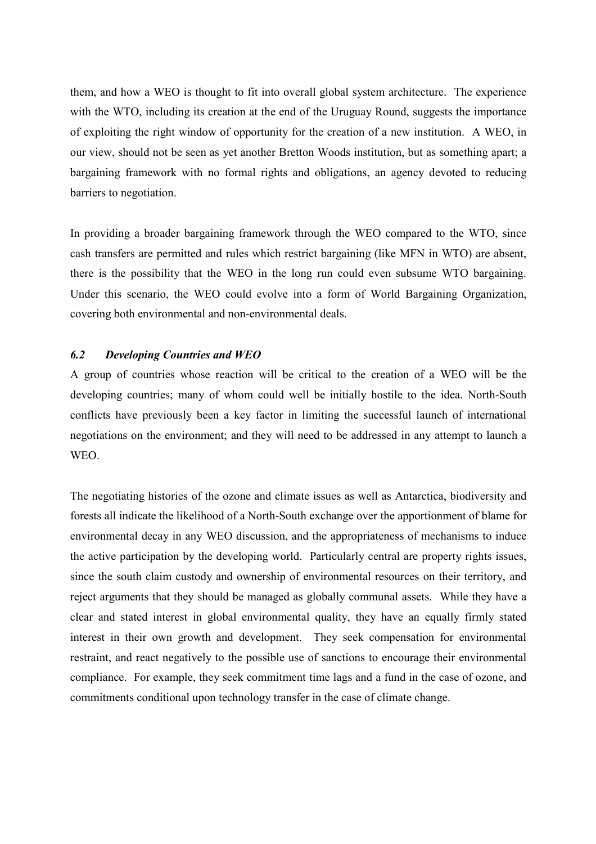them, and how a WEO is thought to fit into overall global system architecture. The experience with the WTO, including its creation at the end of the Uruguay Round, suggests the importance of exploiting the right window of opportunity for the creation of a new institution. A WEO, in our view, should not be seen as yet another Bretton Woods institution, but as something apart; a bargaining framework with no formal rights and obligations, an agency devoted to reducing barriers to negotiation.

In providing a broader bargaining framework through the WEO compared to the WTO, since cash transfers are permitted and rules which restrict bargaining (like MFN in WTO) are absent, there is the possibility that the WEO in the long run could even subsume WTO bargaining. Under this scenario, the WEO could evolve into a form of World Bargaining Organization, covering both environmental and non-environmental deals.

# *6.2 Developing Countries and WEO*

A group of countries whose reaction will be critical to the creation of a WEO will be the developing countries; many of whom could well be initially hostile to the idea. North-South conflicts have previously been a key factor in limiting the successful launch of international negotiations on the environment; and they will need to be addressed in any attempt to launch a WEO.

The negotiating histories of the ozone and climate issues as well as Antarctica, biodiversity and forests all indicate the likelihood of a North-South exchange over the apportionment of blame for environmental decay in any WEO discussion, and the appropriateness of mechanisms to induce the active participation by the developing world. Particularly central are property rights issues, since the south claim custody and ownership of environmental resources on their territory, and reject arguments that they should be managed as globally communal assets. While they have a clear and stated interest in global environmental quality, they have an equally firmly stated interest in their own growth and development. They seek compensation for environmental restraint, and react negatively to the possible use of sanctions to encourage their environmental compliance. For example, they seek commitment time lags and a fund in the case of ozone, and commitments conditional upon technology transfer in the case of climate change.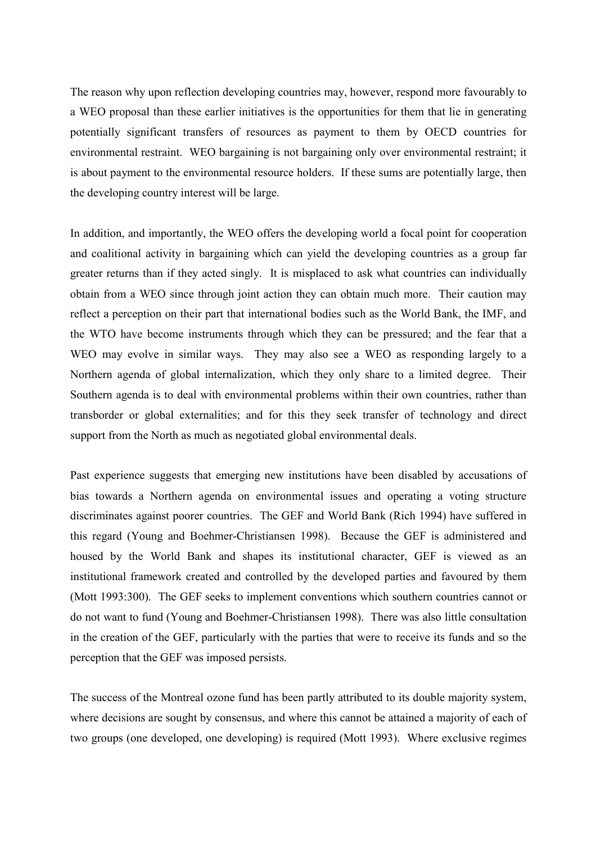The reason why upon reflection developing countries may, however, respond more favourably to a WEO proposal than these earlier initiatives is the opportunities for them that lie in generating potentially significant transfers of resources as payment to them by OECD countries for environmental restraint. WEO bargaining is not bargaining only over environmental restraint; it is about payment to the environmental resource holders. If these sums are potentially large, then the developing country interest will be large.

In addition, and importantly, the WEO offers the developing world a focal point for cooperation and coalitional activity in bargaining which can yield the developing countries as a group far greater returns than if they acted singly. It is misplaced to ask what countries can individually obtain from a WEO since through joint action they can obtain much more. Their caution may reflect a perception on their part that international bodies such as the World Bank, the IMF, and the WTO have become instruments through which they can be pressured; and the fear that a WEO may evolve in similar ways. They may also see a WEO as responding largely to a Northern agenda of global internalization, which they only share to a limited degree. Their Southern agenda is to deal with environmental problems within their own countries, rather than transborder or global externalities; and for this they seek transfer of technology and direct support from the North as much as negotiated global environmental deals.

Past experience suggests that emerging new institutions have been disabled by accusations of bias towards a Northern agenda on environmental issues and operating a voting structure discriminates against poorer countries. The GEF and World Bank (Rich 1994) have suffered in this regard (Young and Boehmer-Christiansen 1998). Because the GEF is administered and housed by the World Bank and shapes its institutional character, GEF is viewed as an institutional framework created and controlled by the developed parties and favoured by them (Mott 1993:300). The GEF seeks to implement conventions which southern countries cannot or do not want to fund (Young and Boehmer-Christiansen 1998). There was also little consultation in the creation of the GEF, particularly with the parties that were to receive its funds and so the perception that the GEF was imposed persists.

The success of the Montreal ozone fund has been partly attributed to its double majority system, where decisions are sought by consensus, and where this cannot be attained a majority of each of two groups (one developed, one developing) is required (Mott 1993). Where exclusive regimes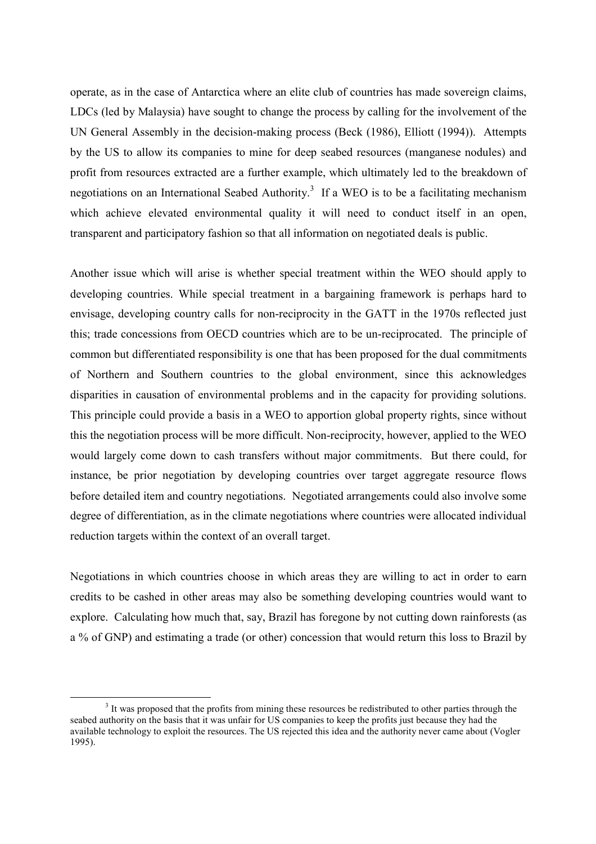operate, as in the case of Antarctica where an elite club of countries has made sovereign claims, LDCs (led by Malaysia) have sought to change the process by calling for the involvement of the UN General Assembly in the decision-making process (Beck (1986), Elliott (1994)). Attempts by the US to allow its companies to mine for deep seabed resources (manganese nodules) and profit from resources extracted are a further example, which ultimately led to the breakdown of negotiations on an International Seabed Authority.<sup>3</sup> If a WEO is to be a facilitating mechanism which achieve elevated environmental quality it will need to conduct itself in an open, transparent and participatory fashion so that all information on negotiated deals is public.

Another issue which will arise is whether special treatment within the WEO should apply to developing countries. While special treatment in a bargaining framework is perhaps hard to envisage, developing country calls for non-reciprocity in the GATT in the 1970s reflected just this; trade concessions from OECD countries which are to be un-reciprocated. The principle of common but differentiated responsibility is one that has been proposed for the dual commitments of Northern and Southern countries to the global environment, since this acknowledges disparities in causation of environmental problems and in the capacity for providing solutions. This principle could provide a basis in a WEO to apportion global property rights, since without this the negotiation process will be more difficult. Non-reciprocity, however, applied to the WEO would largely come down to cash transfers without major commitments. But there could, for instance, be prior negotiation by developing countries over target aggregate resource flows before detailed item and country negotiations. Negotiated arrangements could also involve some degree of differentiation, as in the climate negotiations where countries were allocated individual reduction targets within the context of an overall target.

Negotiations in which countries choose in which areas they are willing to act in order to earn credits to be cashed in other areas may also be something developing countries would want to explore. Calculating how much that, say, Brazil has foregone by not cutting down rainforests (as a % of GNP) and estimating a trade (or other) concession that would return this loss to Brazil by

 <sup>3</sup>  $3$  It was proposed that the profits from mining these resources be redistributed to other parties through the seabed authority on the basis that it was unfair for US companies to keep the profits just because they had the available technology to exploit the resources. The US rejected this idea and the authority never came about (Vogler 1995).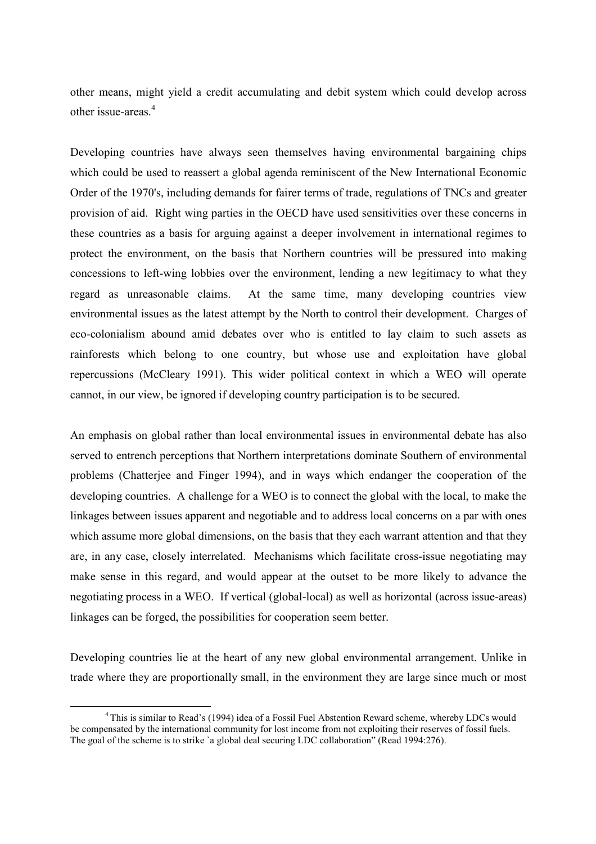other means, might yield a credit accumulating and debit system which could develop across other issue-areas.<sup>4</sup>

Developing countries have always seen themselves having environmental bargaining chips which could be used to reassert a global agenda reminiscent of the New International Economic Order of the 1970's, including demands for fairer terms of trade, regulations of TNCs and greater provision of aid. Right wing parties in the OECD have used sensitivities over these concerns in these countries as a basis for arguing against a deeper involvement in international regimes to protect the environment, on the basis that Northern countries will be pressured into making concessions to left-wing lobbies over the environment, lending a new legitimacy to what they regard as unreasonable claims. At the same time, many developing countries view environmental issues as the latest attempt by the North to control their development. Charges of eco-colonialism abound amid debates over who is entitled to lay claim to such assets as rainforests which belong to one country, but whose use and exploitation have global repercussions (McCleary 1991). This wider political context in which a WEO will operate cannot, in our view, be ignored if developing country participation is to be secured.

An emphasis on global rather than local environmental issues in environmental debate has also served to entrench perceptions that Northern interpretations dominate Southern of environmental problems (Chatterjee and Finger 1994), and in ways which endanger the cooperation of the developing countries. A challenge for a WEO is to connect the global with the local, to make the linkages between issues apparent and negotiable and to address local concerns on a par with ones which assume more global dimensions, on the basis that they each warrant attention and that they are, in any case, closely interrelated. Mechanisms which facilitate cross-issue negotiating may make sense in this regard, and would appear at the outset to be more likely to advance the negotiating process in a WEO. If vertical (global-local) as well as horizontal (across issue-areas) linkages can be forged, the possibilities for cooperation seem better.

Developing countries lie at the heart of any new global environmental arrangement. Unlike in trade where they are proportionally small, in the environment they are large since much or most

<sup>&</sup>lt;sup>4</sup> This is similar to Read's (1994) idea of a Fossil Fuel Abstention Reward scheme, whereby LDCs would be compensated by the international community for lost income from not exploiting their reserves of fossil fuels. The goal of the scheme is to strike `a global deal securing LDC collaboration" (Read 1994:276).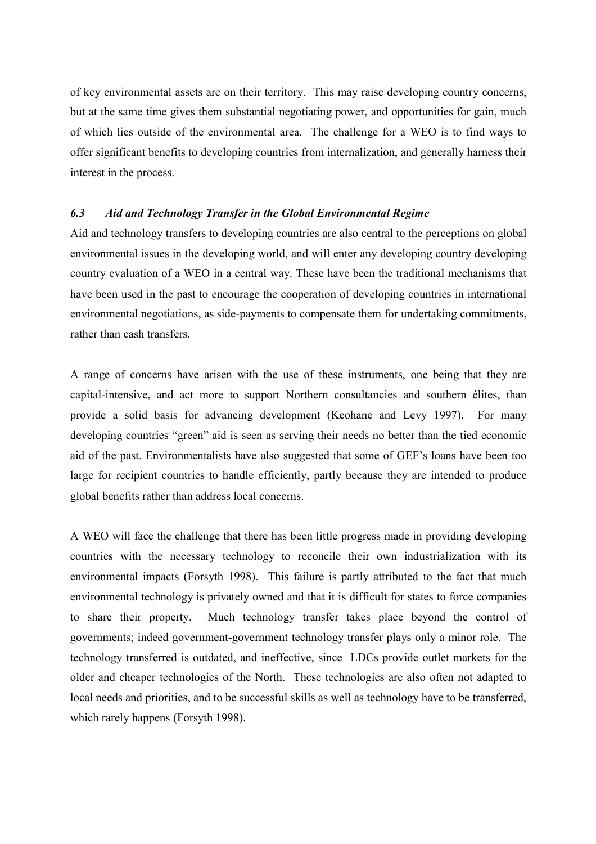of key environmental assets are on their territory. This may raise developing country concerns, but at the same time gives them substantial negotiating power, and opportunities for gain, much of which lies outside of the environmental area. The challenge for a WEO is to find ways to offer significant benefits to developing countries from internalization, and generally harness their interest in the process.

## *6.3 Aid and Technology Transfer in the Global Environmental Regime*

Aid and technology transfers to developing countries are also central to the perceptions on global environmental issues in the developing world, and will enter any developing country developing country evaluation of a WEO in a central way. These have been the traditional mechanisms that have been used in the past to encourage the cooperation of developing countries in international environmental negotiations, as side-payments to compensate them for undertaking commitments, rather than cash transfers.

A range of concerns have arisen with the use of these instruments, one being that they are capital-intensive, and act more to support Northern consultancies and southern élites, than provide a solid basis for advancing development (Keohane and Levy 1997). For many developing countries "green" aid is seen as serving their needs no better than the tied economic aid of the past. Environmentalists have also suggested that some of GEF's loans have been too large for recipient countries to handle efficiently, partly because they are intended to produce global benefits rather than address local concerns.

A WEO will face the challenge that there has been little progress made in providing developing countries with the necessary technology to reconcile their own industrialization with its environmental impacts (Forsyth 1998). This failure is partly attributed to the fact that much environmental technology is privately owned and that it is difficult for states to force companies to share their property. Much technology transfer takes place beyond the control of governments; indeed government-government technology transfer plays only a minor role. The technology transferred is outdated, and ineffective, since LDCs provide outlet markets for the older and cheaper technologies of the North. These technologies are also often not adapted to local needs and priorities, and to be successful skills as well as technology have to be transferred, which rarely happens (Forsyth 1998).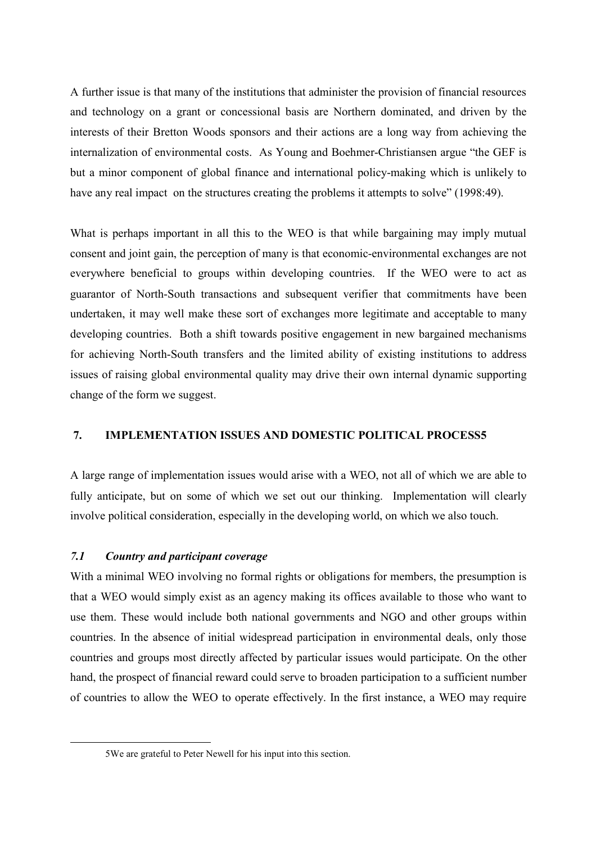A further issue is that many of the institutions that administer the provision of financial resources and technology on a grant or concessional basis are Northern dominated, and driven by the interests of their Bretton Woods sponsors and their actions are a long way from achieving the internalization of environmental costs. As Young and Boehmer-Christiansen argue "the GEF is but a minor component of global finance and international policy-making which is unlikely to have any real impact on the structures creating the problems it attempts to solve" (1998:49).

What is perhaps important in all this to the WEO is that while bargaining may imply mutual consent and joint gain, the perception of many is that economic-environmental exchanges are not everywhere beneficial to groups within developing countries. If the WEO were to act as guarantor of North-South transactions and subsequent verifier that commitments have been undertaken, it may well make these sort of exchanges more legitimate and acceptable to many developing countries. Both a shift towards positive engagement in new bargained mechanisms for achieving North-South transfers and the limited ability of existing institutions to address issues of raising global environmental quality may drive their own internal dynamic supporting change of the form we suggest.

# **7. IMPLEMENTATION ISSUES AND DOMESTIC POLITICAL PROCESS5**

A large range of implementation issues would arise with a WEO, not all of which we are able to fully anticipate, but on some of which we set out our thinking. Implementation will clearly involve political consideration, especially in the developing world, on which we also touch.

### *7.1 Country and participant coverage*

With a minimal WEO involving no formal rights or obligations for members, the presumption is that a WEO would simply exist as an agency making its offices available to those who want to use them. These would include both national governments and NGO and other groups within countries. In the absence of initial widespread participation in environmental deals, only those countries and groups most directly affected by particular issues would participate. On the other hand, the prospect of financial reward could serve to broaden participation to a sufficient number of countries to allow the WEO to operate effectively. In the first instance, a WEO may require

 <sup>5</sup>We are grateful to Peter Newell for his input into this section.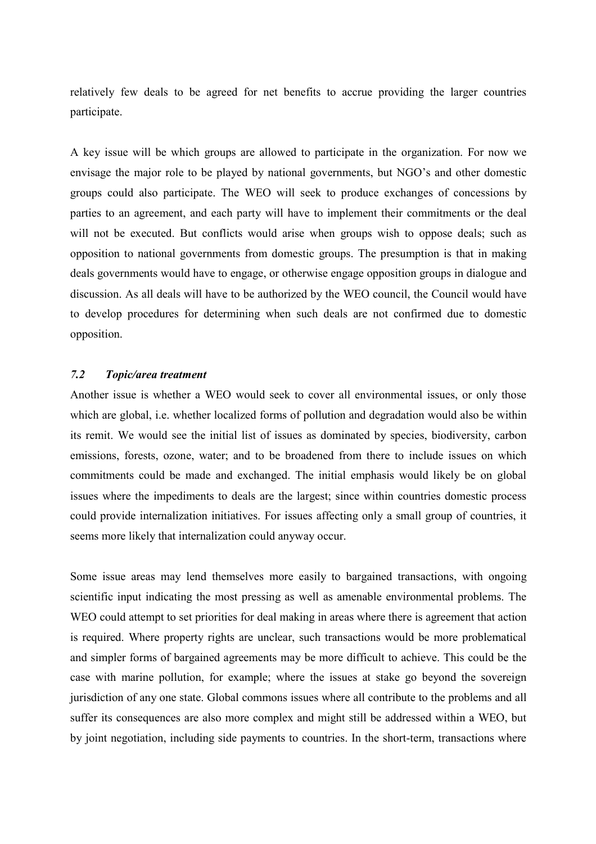relatively few deals to be agreed for net benefits to accrue providing the larger countries participate.

A key issue will be which groups are allowed to participate in the organization. For now we envisage the major role to be played by national governments, but NGO's and other domestic groups could also participate. The WEO will seek to produce exchanges of concessions by parties to an agreement, and each party will have to implement their commitments or the deal will not be executed. But conflicts would arise when groups wish to oppose deals; such as opposition to national governments from domestic groups. The presumption is that in making deals governments would have to engage, or otherwise engage opposition groups in dialogue and discussion. As all deals will have to be authorized by the WEO council, the Council would have to develop procedures for determining when such deals are not confirmed due to domestic opposition.

### *7.2 Topic/area treatment*

Another issue is whether a WEO would seek to cover all environmental issues, or only those which are global, i.e. whether localized forms of pollution and degradation would also be within its remit. We would see the initial list of issues as dominated by species, biodiversity, carbon emissions, forests, ozone, water; and to be broadened from there to include issues on which commitments could be made and exchanged. The initial emphasis would likely be on global issues where the impediments to deals are the largest; since within countries domestic process could provide internalization initiatives. For issues affecting only a small group of countries, it seems more likely that internalization could anyway occur.

Some issue areas may lend themselves more easily to bargained transactions, with ongoing scientific input indicating the most pressing as well as amenable environmental problems. The WEO could attempt to set priorities for deal making in areas where there is agreement that action is required. Where property rights are unclear, such transactions would be more problematical and simpler forms of bargained agreements may be more difficult to achieve. This could be the case with marine pollution, for example; where the issues at stake go beyond the sovereign jurisdiction of any one state. Global commons issues where all contribute to the problems and all suffer its consequences are also more complex and might still be addressed within a WEO, but by joint negotiation, including side payments to countries. In the short-term, transactions where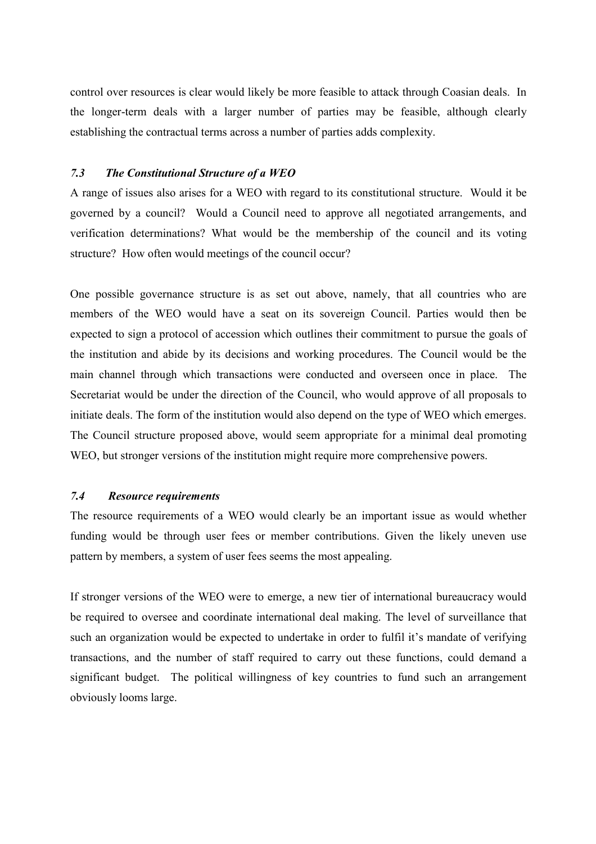control over resources is clear would likely be more feasible to attack through Coasian deals. In the longer-term deals with a larger number of parties may be feasible, although clearly establishing the contractual terms across a number of parties adds complexity.

### *7.3 The Constitutional Structure of a WEO*

A range of issues also arises for a WEO with regard to its constitutional structure. Would it be governed by a council? Would a Council need to approve all negotiated arrangements, and verification determinations? What would be the membership of the council and its voting structure? How often would meetings of the council occur?

One possible governance structure is as set out above, namely, that all countries who are members of the WEO would have a seat on its sovereign Council. Parties would then be expected to sign a protocol of accession which outlines their commitment to pursue the goals of the institution and abide by its decisions and working procedures. The Council would be the main channel through which transactions were conducted and overseen once in place. The Secretariat would be under the direction of the Council, who would approve of all proposals to initiate deals. The form of the institution would also depend on the type of WEO which emerges. The Council structure proposed above, would seem appropriate for a minimal deal promoting WEO, but stronger versions of the institution might require more comprehensive powers.

#### *7.4 Resource requirements*

The resource requirements of a WEO would clearly be an important issue as would whether funding would be through user fees or member contributions. Given the likely uneven use pattern by members, a system of user fees seems the most appealing.

If stronger versions of the WEO were to emerge, a new tier of international bureaucracy would be required to oversee and coordinate international deal making. The level of surveillance that such an organization would be expected to undertake in order to fulfil it's mandate of verifying transactions, and the number of staff required to carry out these functions, could demand a significant budget. The political willingness of key countries to fund such an arrangement obviously looms large.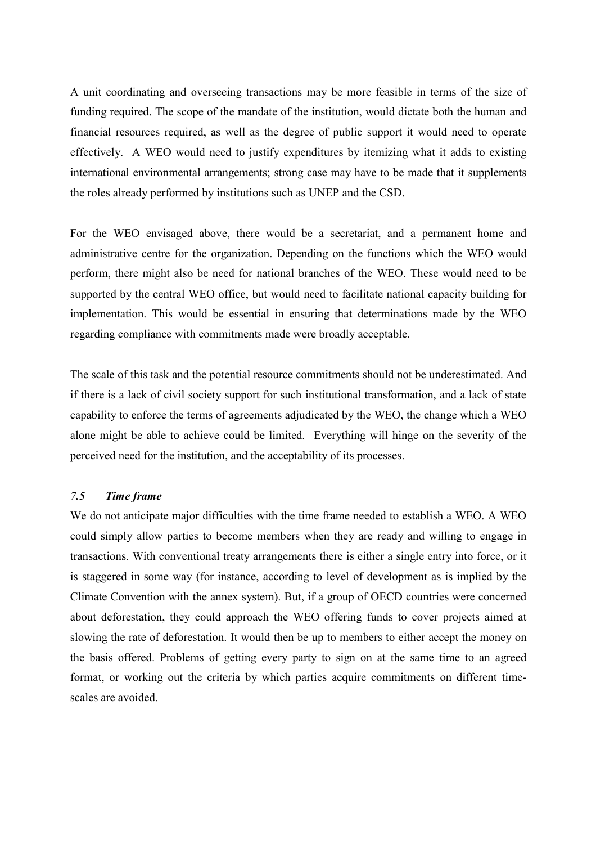A unit coordinating and overseeing transactions may be more feasible in terms of the size of funding required. The scope of the mandate of the institution, would dictate both the human and financial resources required, as well as the degree of public support it would need to operate effectively. A WEO would need to justify expenditures by itemizing what it adds to existing international environmental arrangements; strong case may have to be made that it supplements the roles already performed by institutions such as UNEP and the CSD.

For the WEO envisaged above, there would be a secretariat, and a permanent home and administrative centre for the organization. Depending on the functions which the WEO would perform, there might also be need for national branches of the WEO. These would need to be supported by the central WEO office, but would need to facilitate national capacity building for implementation. This would be essential in ensuring that determinations made by the WEO regarding compliance with commitments made were broadly acceptable.

The scale of this task and the potential resource commitments should not be underestimated. And if there is a lack of civil society support for such institutional transformation, and a lack of state capability to enforce the terms of agreements adjudicated by the WEO, the change which a WEO alone might be able to achieve could be limited. Everything will hinge on the severity of the perceived need for the institution, and the acceptability of its processes.

#### *7.5 Time frame*

We do not anticipate major difficulties with the time frame needed to establish a WEO. A WEO could simply allow parties to become members when they are ready and willing to engage in transactions. With conventional treaty arrangements there is either a single entry into force, or it is staggered in some way (for instance, according to level of development as is implied by the Climate Convention with the annex system). But, if a group of OECD countries were concerned about deforestation, they could approach the WEO offering funds to cover projects aimed at slowing the rate of deforestation. It would then be up to members to either accept the money on the basis offered. Problems of getting every party to sign on at the same time to an agreed format, or working out the criteria by which parties acquire commitments on different timescales are avoided.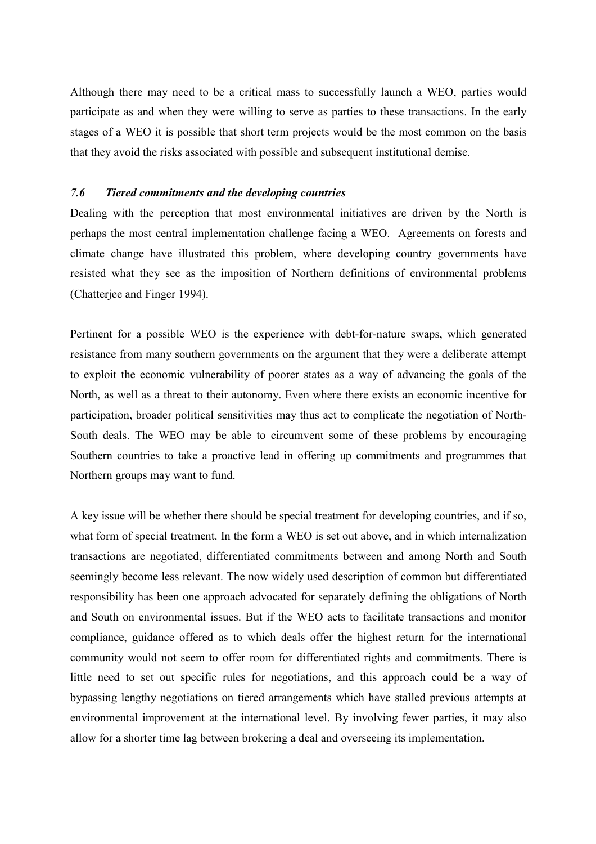Although there may need to be a critical mass to successfully launch a WEO, parties would participate as and when they were willing to serve as parties to these transactions. In the early stages of a WEO it is possible that short term projects would be the most common on the basis that they avoid the risks associated with possible and subsequent institutional demise.

### *7.6 Tiered commitments and the developing countries*

Dealing with the perception that most environmental initiatives are driven by the North is perhaps the most central implementation challenge facing a WEO. Agreements on forests and climate change have illustrated this problem, where developing country governments have resisted what they see as the imposition of Northern definitions of environmental problems (Chatterjee and Finger 1994).

Pertinent for a possible WEO is the experience with debt-for-nature swaps, which generated resistance from many southern governments on the argument that they were a deliberate attempt to exploit the economic vulnerability of poorer states as a way of advancing the goals of the North, as well as a threat to their autonomy. Even where there exists an economic incentive for participation, broader political sensitivities may thus act to complicate the negotiation of North-South deals. The WEO may be able to circumvent some of these problems by encouraging Southern countries to take a proactive lead in offering up commitments and programmes that Northern groups may want to fund.

A key issue will be whether there should be special treatment for developing countries, and if so, what form of special treatment. In the form a WEO is set out above, and in which internalization transactions are negotiated, differentiated commitments between and among North and South seemingly become less relevant. The now widely used description of common but differentiated responsibility has been one approach advocated for separately defining the obligations of North and South on environmental issues. But if the WEO acts to facilitate transactions and monitor compliance, guidance offered as to which deals offer the highest return for the international community would not seem to offer room for differentiated rights and commitments. There is little need to set out specific rules for negotiations, and this approach could be a way of bypassing lengthy negotiations on tiered arrangements which have stalled previous attempts at environmental improvement at the international level. By involving fewer parties, it may also allow for a shorter time lag between brokering a deal and overseeing its implementation.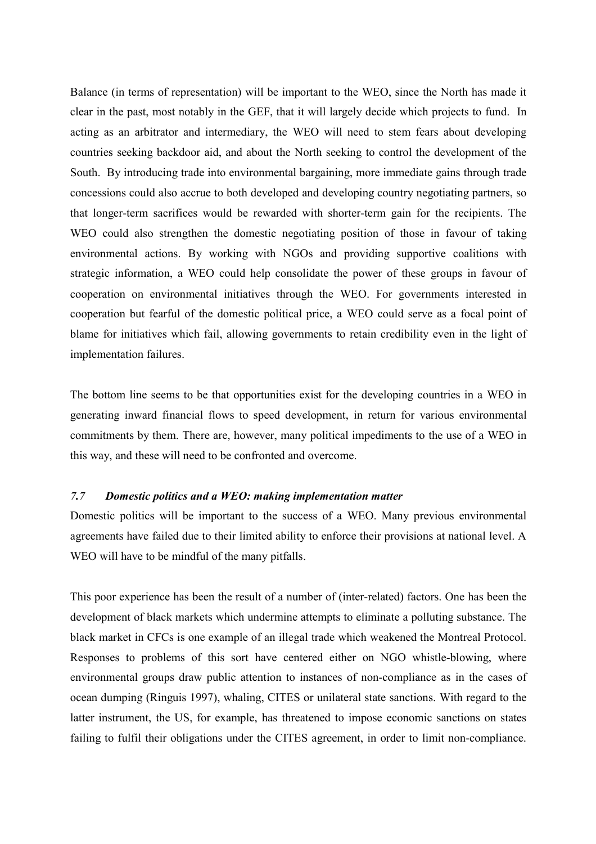Balance (in terms of representation) will be important to the WEO, since the North has made it clear in the past, most notably in the GEF, that it will largely decide which projects to fund. In acting as an arbitrator and intermediary, the WEO will need to stem fears about developing countries seeking backdoor aid, and about the North seeking to control the development of the South. By introducing trade into environmental bargaining, more immediate gains through trade concessions could also accrue to both developed and developing country negotiating partners, so that longer-term sacrifices would be rewarded with shorter-term gain for the recipients. The WEO could also strengthen the domestic negotiating position of those in favour of taking environmental actions. By working with NGOs and providing supportive coalitions with strategic information, a WEO could help consolidate the power of these groups in favour of cooperation on environmental initiatives through the WEO. For governments interested in cooperation but fearful of the domestic political price, a WEO could serve as a focal point of blame for initiatives which fail, allowing governments to retain credibility even in the light of implementation failures.

The bottom line seems to be that opportunities exist for the developing countries in a WEO in generating inward financial flows to speed development, in return for various environmental commitments by them. There are, however, many political impediments to the use of a WEO in this way, and these will need to be confronted and overcome.

#### *7.7 Domestic politics and a WEO: making implementation matter*

Domestic politics will be important to the success of a WEO. Many previous environmental agreements have failed due to their limited ability to enforce their provisions at national level. A WEO will have to be mindful of the many pitfalls.

This poor experience has been the result of a number of (inter-related) factors. One has been the development of black markets which undermine attempts to eliminate a polluting substance. The black market in CFCs is one example of an illegal trade which weakened the Montreal Protocol. Responses to problems of this sort have centered either on NGO whistle-blowing, where environmental groups draw public attention to instances of non-compliance as in the cases of ocean dumping (Ringuis 1997), whaling, CITES or unilateral state sanctions. With regard to the latter instrument, the US, for example, has threatened to impose economic sanctions on states failing to fulfil their obligations under the CITES agreement, in order to limit non-compliance.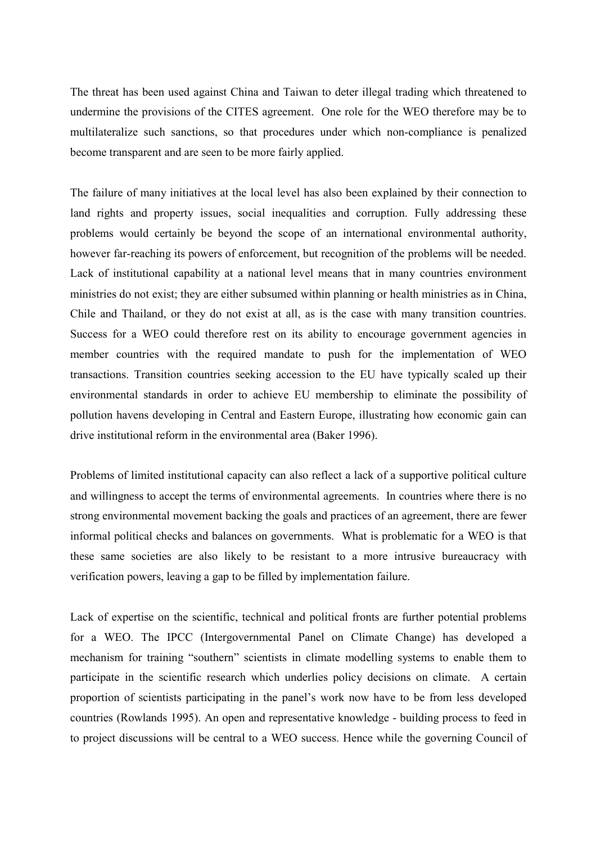The threat has been used against China and Taiwan to deter illegal trading which threatened to undermine the provisions of the CITES agreement. One role for the WEO therefore may be to multilateralize such sanctions, so that procedures under which non-compliance is penalized become transparent and are seen to be more fairly applied.

The failure of many initiatives at the local level has also been explained by their connection to land rights and property issues, social inequalities and corruption. Fully addressing these problems would certainly be beyond the scope of an international environmental authority, however far-reaching its powers of enforcement, but recognition of the problems will be needed. Lack of institutional capability at a national level means that in many countries environment ministries do not exist; they are either subsumed within planning or health ministries as in China, Chile and Thailand, or they do not exist at all, as is the case with many transition countries. Success for a WEO could therefore rest on its ability to encourage government agencies in member countries with the required mandate to push for the implementation of WEO transactions. Transition countries seeking accession to the EU have typically scaled up their environmental standards in order to achieve EU membership to eliminate the possibility of pollution havens developing in Central and Eastern Europe, illustrating how economic gain can drive institutional reform in the environmental area (Baker 1996).

Problems of limited institutional capacity can also reflect a lack of a supportive political culture and willingness to accept the terms of environmental agreements. In countries where there is no strong environmental movement backing the goals and practices of an agreement, there are fewer informal political checks and balances on governments. What is problematic for a WEO is that these same societies are also likely to be resistant to a more intrusive bureaucracy with verification powers, leaving a gap to be filled by implementation failure.

Lack of expertise on the scientific, technical and political fronts are further potential problems for a WEO. The IPCC (Intergovernmental Panel on Climate Change) has developed a mechanism for training "southern" scientists in climate modelling systems to enable them to participate in the scientific research which underlies policy decisions on climate. A certain proportion of scientists participating in the panel's work now have to be from less developed countries (Rowlands 1995). An open and representative knowledge - building process to feed in to project discussions will be central to a WEO success. Hence while the governing Council of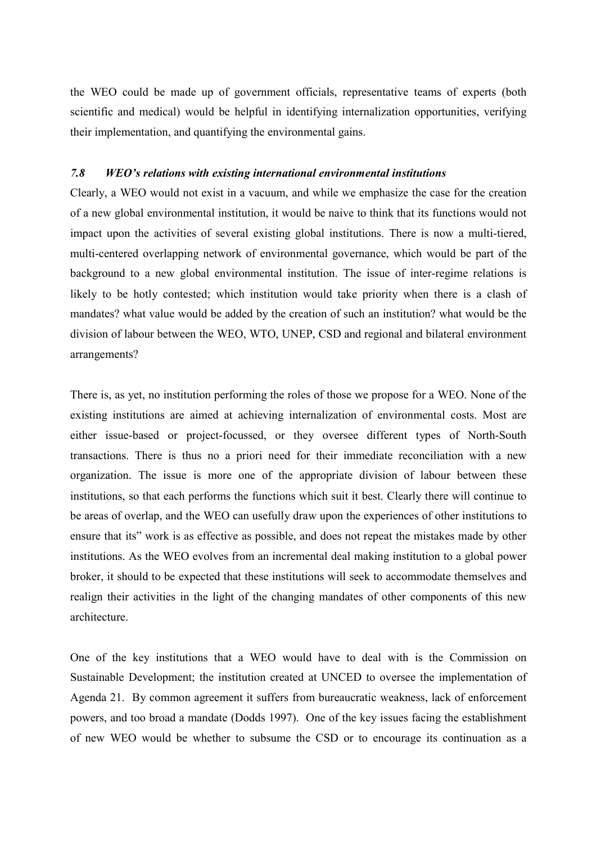the WEO could be made up of government officials, representative teams of experts (both scientific and medical) would be helpful in identifying internalization opportunities, verifying their implementation, and quantifying the environmental gains.

### *7.8 WEO's relations with existing international environmental institutions*

Clearly, a WEO would not exist in a vacuum, and while we emphasize the case for the creation of a new global environmental institution, it would be naive to think that its functions would not impact upon the activities of several existing global institutions. There is now a multi-tiered, multi-centered overlapping network of environmental governance, which would be part of the background to a new global environmental institution. The issue of inter-regime relations is likely to be hotly contested; which institution would take priority when there is a clash of mandates? what value would be added by the creation of such an institution? what would be the division of labour between the WEO, WTO, UNEP, CSD and regional and bilateral environment arrangements?

There is, as yet, no institution performing the roles of those we propose for a WEO. None of the existing institutions are aimed at achieving internalization of environmental costs. Most are either issue-based or project-focussed, or they oversee different types of North-South transactions. There is thus no a priori need for their immediate reconciliation with a new organization. The issue is more one of the appropriate division of labour between these institutions, so that each performs the functions which suit it best. Clearly there will continue to be areas of overlap, and the WEO can usefully draw upon the experiences of other institutions to ensure that its" work is as effective as possible, and does not repeat the mistakes made by other institutions. As the WEO evolves from an incremental deal making institution to a global power broker, it should to be expected that these institutions will seek to accommodate themselves and realign their activities in the light of the changing mandates of other components of this new architecture.

One of the key institutions that a WEO would have to deal with is the Commission on Sustainable Development; the institution created at UNCED to oversee the implementation of Agenda 21. By common agreement it suffers from bureaucratic weakness, lack of enforcement powers, and too broad a mandate (Dodds 1997). One of the key issues facing the establishment of new WEO would be whether to subsume the CSD or to encourage its continuation as a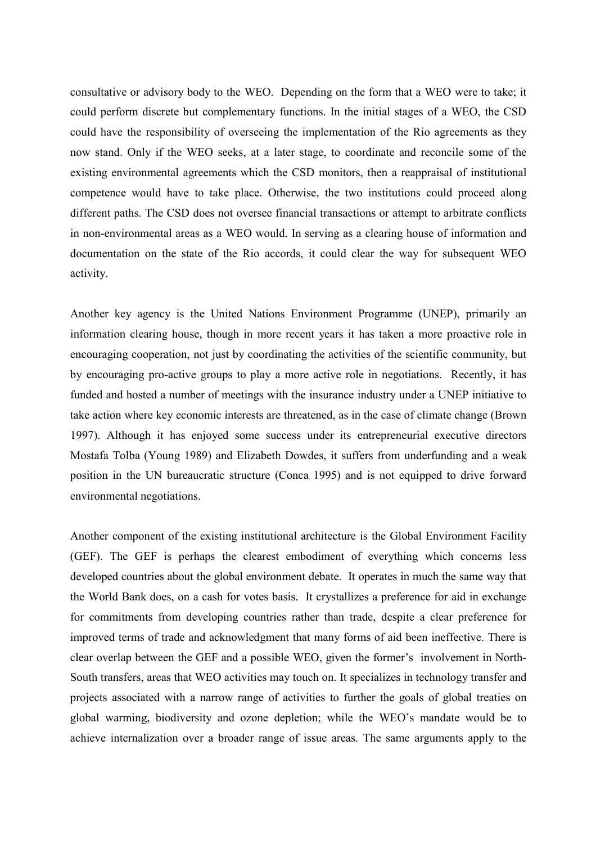consultative or advisory body to the WEO. Depending on the form that a WEO were to take; it could perform discrete but complementary functions. In the initial stages of a WEO, the CSD could have the responsibility of overseeing the implementation of the Rio agreements as they now stand. Only if the WEO seeks, at a later stage, to coordinate and reconcile some of the existing environmental agreements which the CSD monitors, then a reappraisal of institutional competence would have to take place. Otherwise, the two institutions could proceed along different paths. The CSD does not oversee financial transactions or attempt to arbitrate conflicts in non-environmental areas as a WEO would. In serving as a clearing house of information and documentation on the state of the Rio accords, it could clear the way for subsequent WEO activity.

Another key agency is the United Nations Environment Programme (UNEP), primarily an information clearing house, though in more recent years it has taken a more proactive role in encouraging cooperation, not just by coordinating the activities of the scientific community, but by encouraging pro-active groups to play a more active role in negotiations. Recently, it has funded and hosted a number of meetings with the insurance industry under a UNEP initiative to take action where key economic interests are threatened, as in the case of climate change (Brown 1997). Although it has enjoyed some success under its entrepreneurial executive directors Mostafa Tolba (Young 1989) and Elizabeth Dowdes, it suffers from underfunding and a weak position in the UN bureaucratic structure (Conca 1995) and is not equipped to drive forward environmental negotiations.

Another component of the existing institutional architecture is the Global Environment Facility (GEF). The GEF is perhaps the clearest embodiment of everything which concerns less developed countries about the global environment debate. It operates in much the same way that the World Bank does, on a cash for votes basis. It crystallizes a preference for aid in exchange for commitments from developing countries rather than trade, despite a clear preference for improved terms of trade and acknowledgment that many forms of aid been ineffective. There is clear overlap between the GEF and a possible WEO, given the former's involvement in North-South transfers, areas that WEO activities may touch on. It specializes in technology transfer and projects associated with a narrow range of activities to further the goals of global treaties on global warming, biodiversity and ozone depletion; while the WEO's mandate would be to achieve internalization over a broader range of issue areas. The same arguments apply to the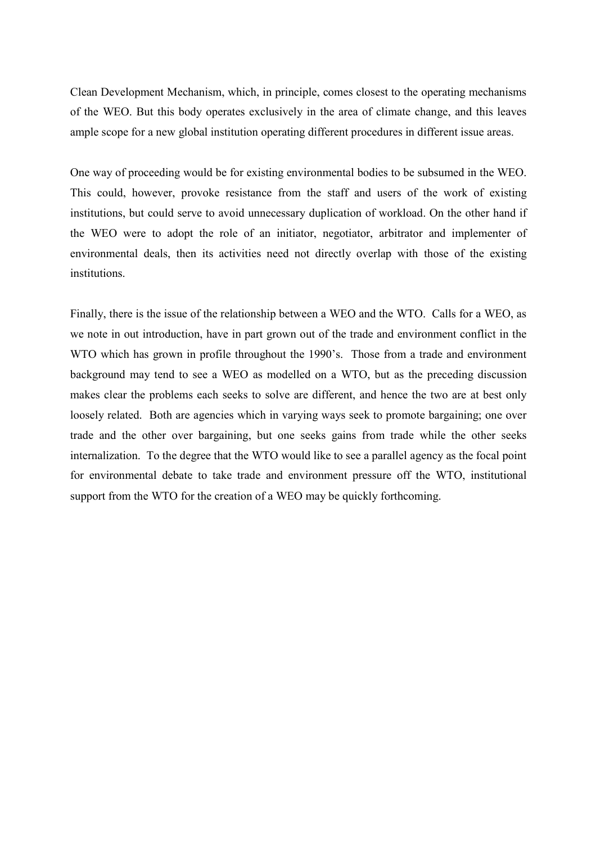Clean Development Mechanism, which, in principle, comes closest to the operating mechanisms of the WEO. But this body operates exclusively in the area of climate change, and this leaves ample scope for a new global institution operating different procedures in different issue areas.

One way of proceeding would be for existing environmental bodies to be subsumed in the WEO. This could, however, provoke resistance from the staff and users of the work of existing institutions, but could serve to avoid unnecessary duplication of workload. On the other hand if the WEO were to adopt the role of an initiator, negotiator, arbitrator and implementer of environmental deals, then its activities need not directly overlap with those of the existing institutions.

Finally, there is the issue of the relationship between a WEO and the WTO. Calls for a WEO, as we note in out introduction, have in part grown out of the trade and environment conflict in the WTO which has grown in profile throughout the 1990's. Those from a trade and environment background may tend to see a WEO as modelled on a WTO, but as the preceding discussion makes clear the problems each seeks to solve are different, and hence the two are at best only loosely related. Both are agencies which in varying ways seek to promote bargaining; one over trade and the other over bargaining, but one seeks gains from trade while the other seeks internalization. To the degree that the WTO would like to see a parallel agency as the focal point for environmental debate to take trade and environment pressure off the WTO, institutional support from the WTO for the creation of a WEO may be quickly forthcoming.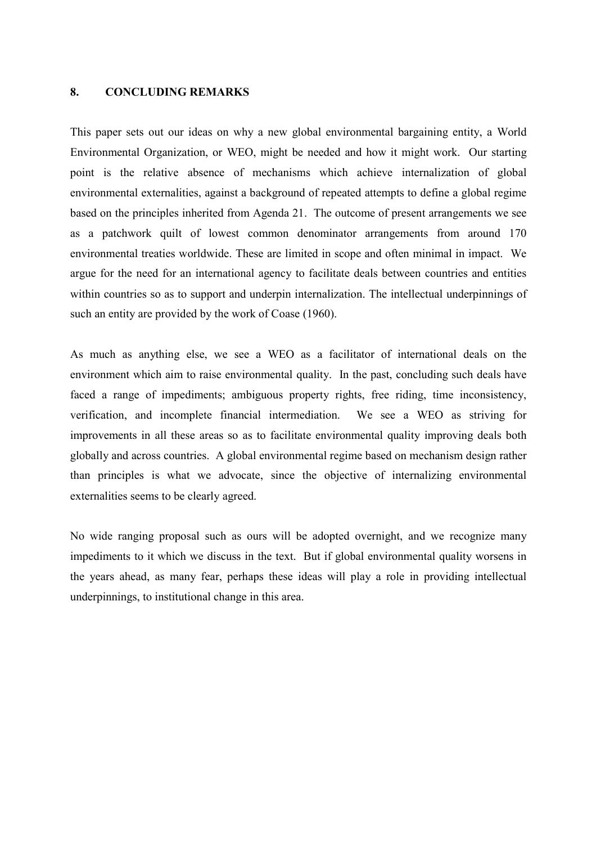#### **8. CONCLUDING REMARKS**

This paper sets out our ideas on why a new global environmental bargaining entity, a World Environmental Organization, or WEO, might be needed and how it might work. Our starting point is the relative absence of mechanisms which achieve internalization of global environmental externalities, against a background of repeated attempts to define a global regime based on the principles inherited from Agenda 21. The outcome of present arrangements we see as a patchwork quilt of lowest common denominator arrangements from around 170 environmental treaties worldwide. These are limited in scope and often minimal in impact. We argue for the need for an international agency to facilitate deals between countries and entities within countries so as to support and underpin internalization. The intellectual underpinnings of such an entity are provided by the work of Coase (1960).

As much as anything else, we see a WEO as a facilitator of international deals on the environment which aim to raise environmental quality. In the past, concluding such deals have faced a range of impediments; ambiguous property rights, free riding, time inconsistency, verification, and incomplete financial intermediation. We see a WEO as striving for improvements in all these areas so as to facilitate environmental quality improving deals both globally and across countries. A global environmental regime based on mechanism design rather than principles is what we advocate, since the objective of internalizing environmental externalities seems to be clearly agreed.

No wide ranging proposal such as ours will be adopted overnight, and we recognize many impediments to it which we discuss in the text. But if global environmental quality worsens in the years ahead, as many fear, perhaps these ideas will play a role in providing intellectual underpinnings, to institutional change in this area.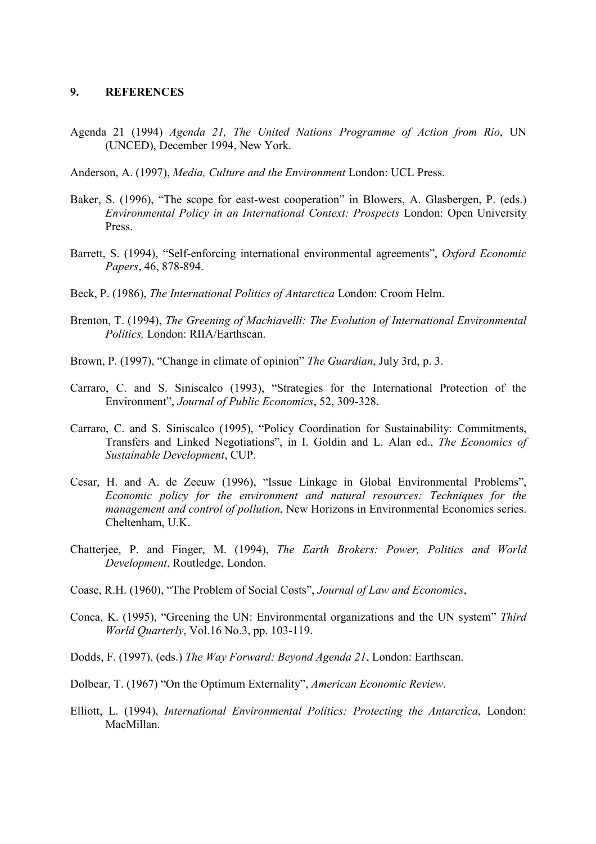### **9. REFERENCES**

Agenda 21 (1994) *Agenda 21, The United Nations Programme of Action from Rio*, UN (UNCED), December 1994, New York.

Anderson, A. (1997), *Media, Culture and the Environment* London: UCL Press.

- Baker, S. (1996), "The scope for east-west cooperation" in Blowers, A. Glasbergen, P. (eds.) *Environmental Policy in an International Context: Prospects* London: Open University Press.
- Barrett, S. (1994), "Self-enforcing international environmental agreements", *Oxford Economic Papers*, 46, 878-894.
- Beck, P. (1986), *The International Politics of Antarctica* London: Croom Helm.
- Brenton, T. (1994), *The Greening of Machiavelli: The Evolution of International Environmental Politics,* London: RIIA/Earthscan.
- Brown, P. (1997), "Change in climate of opinion" *The Guardian*, July 3rd, p. 3.
- Carraro, C. and S. Siniscalco (1993), "Strategies for the International Protection of the Environment", *Journal of Public Economics*, 52, 309-328.
- Carraro, C. and S. Siniscalco (1995), "Policy Coordination for Sustainability: Commitments, Transfers and Linked Negotiations", in I. Goldin and L. Alan ed., *The Economics of Sustainable Development*, CUP.
- Cesar, H. and A. de Zeeuw (1996), "Issue Linkage in Global Environmental Problems", *Economic policy for the environment and natural resources: Techniques for the management and control of pollution*, New Horizons in Environmental Economics series. Cheltenham, U.K.
- Chatterjee, P. and Finger, M. (1994), *The Earth Brokers: Power, Politics and World Development*, Routledge, London.
- Coase, R.H. (1960), "The Problem of Social Costs", *Journal of Law and Economics*,
- Conca, K. (1995), "Greening the UN: Environmental organizations and the UN system" *Third World Quarterly*, Vol.16 No.3, pp. 103-119.
- Dodds, F. (1997), (eds.) *The Way Forward: Beyond Agenda 21*, London: Earthscan.
- Dolbear, T. (1967) "On the Optimum Externality", *American Economic Review*.
- Elliott, L. (1994), *International Environmental Politics: Protecting the Antarctica*, London: MacMillan.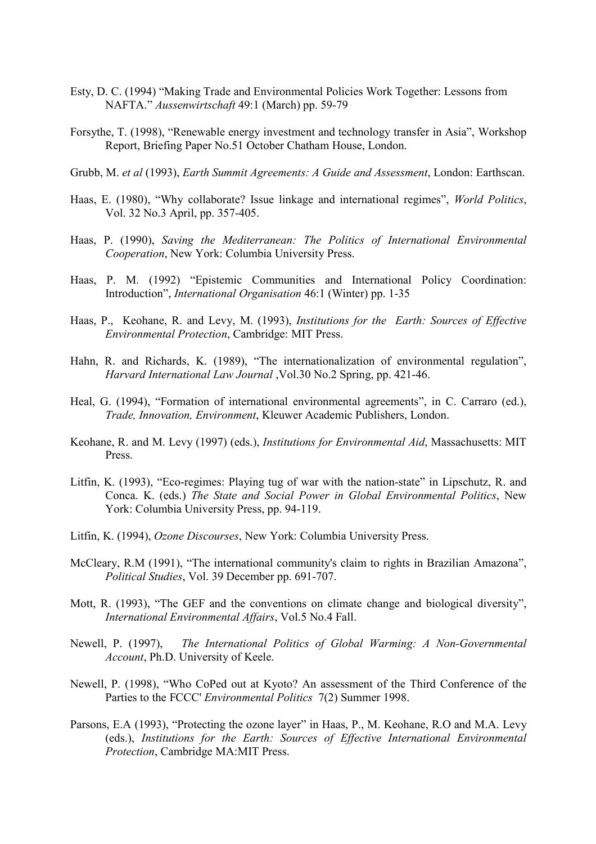- Esty, D. C. (1994) "Making Trade and Environmental Policies Work Together: Lessons from NAFTA." *Aussenwirtschaft* 49:1 (March) pp. 59-79
- Forsythe, T. (1998), "Renewable energy investment and technology transfer in Asia", Workshop Report, Briefing Paper No.51 October Chatham House, London.
- Grubb, M. *et al* (1993), *Earth Summit Agreements: A Guide and Assessment*, London: Earthscan.
- Haas, E. (1980), "Why collaborate? Issue linkage and international regimes", *World Politics*, Vol. 32 No.3 April, pp. 357-405.
- Haas, P. (1990), *Saving the Mediterranean: The Politics of International Environmental Cooperation*, New York: Columbia University Press.
- Haas, P. M. (1992) "Epistemic Communities and International Policy Coordination: Introduction", *International Organisation* 46:1 (Winter) pp. 1-35
- Haas, P., Keohane, R. and Levy, M. (1993), *Institutions for the Earth: Sources of Effective Environmental Protection*, Cambridge: MIT Press.
- Hahn, R. and Richards, K. (1989), "The internationalization of environmental regulation", *Harvard International Law Journal* ,Vol.30 No.2 Spring, pp. 421-46.
- Heal, G. (1994), "Formation of international environmental agreements", in C. Carraro (ed.), *Trade, Innovation, Environment*, Kleuwer Academic Publishers, London.
- Keohane, R. and M. Levy (1997) (eds.), *Institutions for Environmental Aid*, Massachusetts: MIT Press.
- Litfin, K. (1993), "Eco-regimes: Playing tug of war with the nation-state" in Lipschutz, R. and Conca. K. (eds.) *The State and Social Power in Global Environmental Politics*, New York: Columbia University Press, pp. 94-119.
- Litfin, K. (1994), *Ozone Discourses*, New York: Columbia University Press.
- McCleary, R.M (1991), "The international community's claim to rights in Brazilian Amazona", *Political Studies*, Vol. 39 December pp. 691-707.
- Mott, R. (1993), "The GEF and the conventions on climate change and biological diversity", *International Environmental Affairs*, Vol.5 No.4 Fall.
- Newell, P. (1997), *The International Politics of Global Warming: A Non-Governmental Account*, Ph.D. University of Keele.
- Newell, P. (1998), "Who CoPed out at Kyoto? An assessment of the Third Conference of the Parties to the FCCC' *Environmental Politics* 7(2) Summer 1998.
- Parsons, E.A (1993), "Protecting the ozone layer" in Haas, P., M. Keohane, R.O and M.A. Levy (eds.), *Institutions for the Earth: Sources of Effective International Environmental Protection*, Cambridge MA:MIT Press.